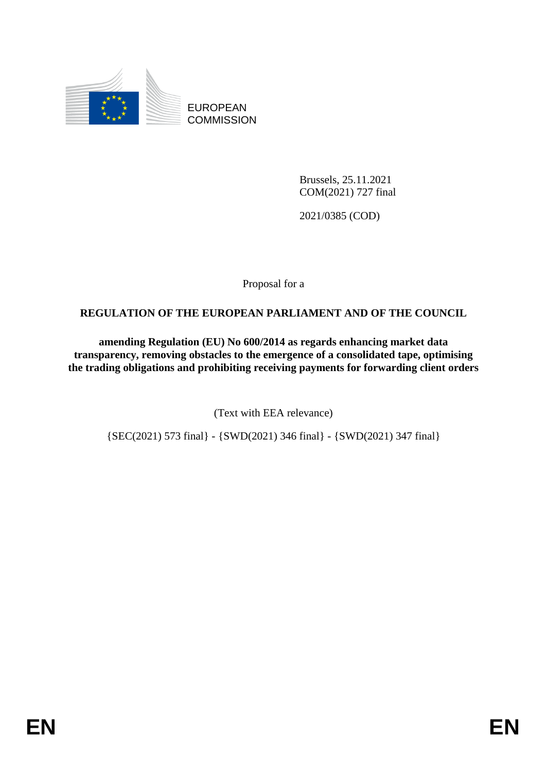

EUROPEAN **COMMISSION** 

> Brussels, 25.11.2021 COM(2021) 727 final

2021/0385 (COD)

Proposal for a

#### **REGULATION OF THE EUROPEAN PARLIAMENT AND OF THE COUNCIL**

**amending Regulation (EU) No 600/2014 as regards enhancing market data transparency, removing obstacles to the emergence of a consolidated tape, optimising the trading obligations and prohibiting receiving payments for forwarding client orders**

(Text with EEA relevance)

{SEC(2021) 573 final} - {SWD(2021) 346 final} - {SWD(2021) 347 final}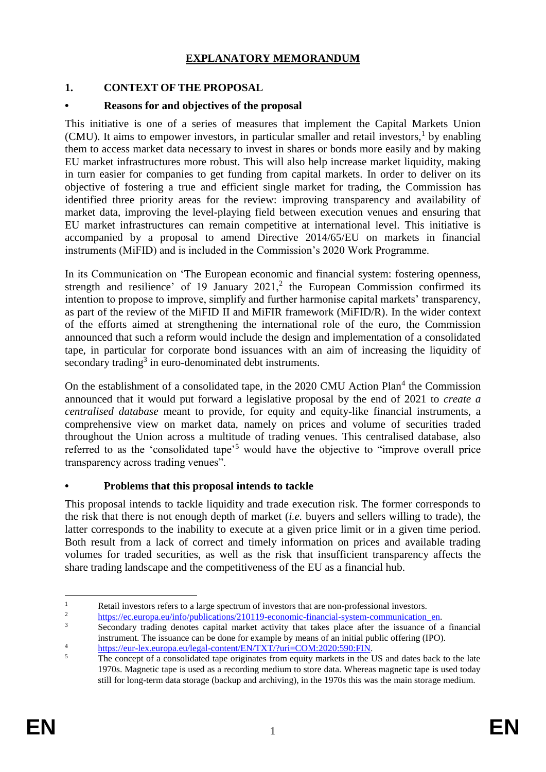## **EXPLANATORY MEMORANDUM**

### **1. CONTEXT OF THE PROPOSAL**

#### **• Reasons for and objectives of the proposal**

This initiative is one of a series of measures that implement the Capital Markets Union (CMU). It aims to empower investors, in particular smaller and retail investors,  $\frac{1}{1}$  by enabling them to access market data necessary to invest in shares or bonds more easily and by making EU market infrastructures more robust. This will also help increase market liquidity, making in turn easier for companies to get funding from capital markets. In order to deliver on its objective of fostering a true and efficient single market for trading, the Commission has identified three priority areas for the review: improving transparency and availability of market data, improving the level-playing field between execution venues and ensuring that EU market infrastructures can remain competitive at international level. This initiative is accompanied by a proposal to amend Directive 2014/65/EU on markets in financial instruments (MiFID) and is included in the Commission's 2020 Work Programme.

In its Communication on 'The European economic and financial system: fostering openness, strength and resilience' of 19 January  $2021$ , the European Commission confirmed its intention to propose to improve, simplify and further harmonise capital markets' transparency, as part of the review of the MiFID II and MiFIR framework (MiFID/R). In the wider context of the efforts aimed at strengthening the international role of the euro, the Commission announced that such a reform would include the design and implementation of a consolidated tape, in particular for corporate bond issuances with an aim of increasing the liquidity of secondary trading<sup>3</sup> in euro-denominated debt instruments.

On the establishment of a consolidated tape, in the 2020 CMU Action Plan<sup>4</sup> the Commission announced that it would put forward a legislative proposal by the end of 2021 to *create a centralised database* meant to provide, for equity and equity-like financial instruments, a comprehensive view on market data, namely on prices and volume of securities traded throughout the Union across a multitude of trading venues. This centralised database, also referred to as the 'consolidated tape'<sup>5</sup> would have the objective to "improve overall price transparency across trading venues".

#### **• Problems that this proposal intends to tackle**

This proposal intends to tackle liquidity and trade execution risk. The former corresponds to the risk that there is not enough depth of market (*i.e.* buyers and sellers willing to trade), the latter corresponds to the inability to execute at a given price limit or in a given time period. Both result from a lack of correct and timely information on prices and available trading volumes for traded securities, as well as the risk that insufficient transparency affects the share trading landscape and the competitiveness of the EU as a financial hub.

 $\mathbf{1}$ <sup>1</sup><br>
Retail investors refers to a large spectrum of investors that are non-professional investors.<br>
<sup>2</sup><br> **Externe introduced in the fundations** (210110 associated intensies) surface communication

<sup>&</sup>lt;sup>2</sup> [https://ec.europa.eu/info/publications/210119-economic-financial-system-communication\\_en.](https://ec.europa.eu/info/publications/210119-economic-financial-system-communication_en)<br><sup>3</sup> Secondary to disc denote conital market estimity that takes also after the issuesses of a

<sup>3</sup> Secondary trading denotes capital market activity that takes place after the issuance of a financial instrument. The issuance can be done for example by means of an initial public offering (IPO).

<sup>&</sup>lt;sup>4</sup><br>[https://eur-lex.europa.eu/legal-content/EN/TXT/?uri=COM:2020:590:FIN.](https://eur-lex.europa.eu/legal-content/EN/TXT/?uri=COM:2020:590:FIN)<br>Fly aggregate of a gaugelistical tens originates from a quity modulate in the l

The concept of a consolidated tape originates from equity markets in the US and dates back to the late 1970s. Magnetic tape is used as a recording medium to store data. Whereas magnetic tape is used today still for long-term data storage (backup and archiving), in the 1970s this was the main storage medium.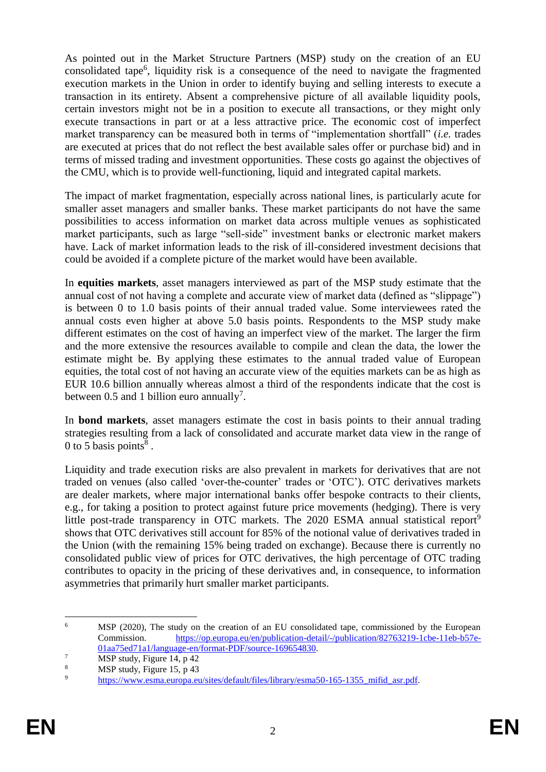As pointed out in the Market Structure Partners (MSP) study on the creation of an EU consolidated tape<sup>6</sup>, liquidity risk is a consequence of the need to navigate the fragmented execution markets in the Union in order to identify buying and selling interests to execute a transaction in its entirety. Absent a comprehensive picture of all available liquidity pools, certain investors might not be in a position to execute all transactions, or they might only execute transactions in part or at a less attractive price. The economic cost of imperfect market transparency can be measured both in terms of "implementation shortfall" (*i.e.* trades are executed at prices that do not reflect the best available sales offer or purchase bid) and in terms of missed trading and investment opportunities. These costs go against the objectives of the CMU, which is to provide well-functioning, liquid and integrated capital markets.

The impact of market fragmentation, especially across national lines, is particularly acute for smaller asset managers and smaller banks. These market participants do not have the same possibilities to access information on market data across multiple venues as sophisticated market participants, such as large "sell-side" investment banks or electronic market makers have. Lack of market information leads to the risk of ill-considered investment decisions that could be avoided if a complete picture of the market would have been available.

In **equities markets**, asset managers interviewed as part of the MSP study estimate that the annual cost of not having a complete and accurate view of market data (defined as "slippage") is between 0 to 1.0 basis points of their annual traded value. Some interviewees rated the annual costs even higher at above 5.0 basis points. Respondents to the MSP study make different estimates on the cost of having an imperfect view of the market. The larger the firm and the more extensive the resources available to compile and clean the data, the lower the estimate might be. By applying these estimates to the annual traded value of European equities, the total cost of not having an accurate view of the equities markets can be as high as EUR 10.6 billion annually whereas almost a third of the respondents indicate that the cost is between 0.5 and 1 billion euro annually<sup>7</sup>.

In **bond markets**, asset managers estimate the cost in basis points to their annual trading strategies resulting from a lack of consolidated and accurate market data view in the range of 0 to 5 basis points $8$ .

Liquidity and trade execution risks are also prevalent in markets for derivatives that are not traded on venues (also called 'over-the-counter' trades or 'OTC'). OTC derivatives markets are dealer markets, where major international banks offer bespoke contracts to their clients, e.g., for taking a position to protect against future price movements (hedging). There is very little post-trade transparency in OTC markets. The 2020 ESMA annual statistical report<sup>9</sup> shows that OTC derivatives still account for 85% of the notional value of derivatives traded in the Union (with the remaining 15% being traded on exchange). Because there is currently no consolidated public view of prices for OTC derivatives, the high percentage of OTC trading contributes to opacity in the pricing of these derivatives and, in consequence, to information asymmetries that primarily hurt smaller market participants.

<sup>1</sup> <sup>6</sup> MSP (2020), The study on the creation of an EU consolidated tape, commissioned by the European Commission. [https://op.europa.eu/en/publication-detail/-/publication/82763219-1cbe-11eb-b57e-](https://op.europa.eu/en/publication-detail/-/publication/82763219-1cbe-11eb-b57e-01aa75ed71a1/language-en/format-PDF/source-169654830)[01aa75ed71a1/language-en/format-PDF/source-169654830.](https://op.europa.eu/en/publication-detail/-/publication/82763219-1cbe-11eb-b57e-01aa75ed71a1/language-en/format-PDF/source-169654830)

 $\overline{MSP}$  study, Figure 14, p 42

 $8 \qquad \qquad \text{MSP study, Figure 15, p 43}$ 

[https://www.esma.europa.eu/sites/default/files/library/esma50-165-1355\\_mifid\\_asr.pdf.](https://www.esma.europa.eu/sites/default/files/library/esma50-165-1355_mifid_asr.pdf)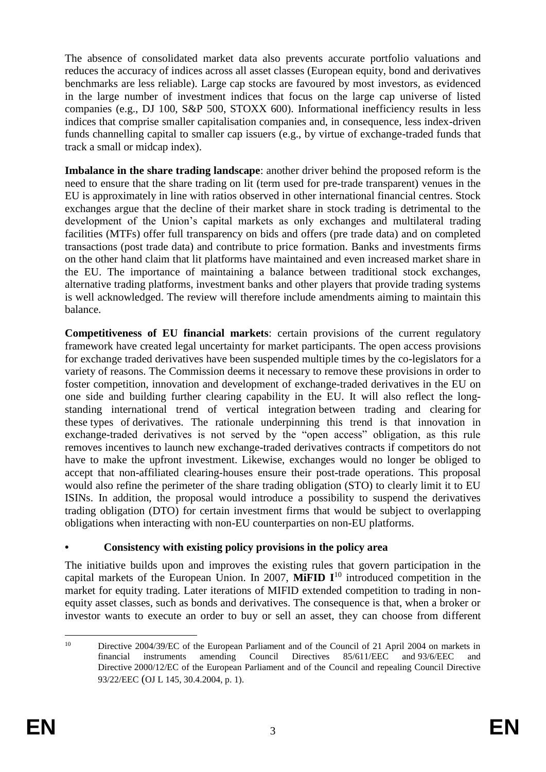The absence of consolidated market data also prevents accurate portfolio valuations and reduces the accuracy of indices across all asset classes (European equity, bond and derivatives benchmarks are less reliable). Large cap stocks are favoured by most investors, as evidenced in the large number of investment indices that focus on the large cap universe of listed companies (e.g., DJ 100, S&P 500, STOXX 600). Informational inefficiency results in less indices that comprise smaller capitalisation companies and, in consequence, less index-driven funds channelling capital to smaller cap issuers (e.g., by virtue of exchange-traded funds that track a small or midcap index).

**Imbalance in the share trading landscape**: another driver behind the proposed reform is the need to ensure that the share trading on lit (term used for pre-trade transparent) venues in the EU is approximately in line with ratios observed in other international financial centres. Stock exchanges argue that the decline of their market share in stock trading is detrimental to the development of the Union's capital markets as only exchanges and multilateral trading facilities (MTFs) offer full transparency on bids and offers (pre trade data) and on completed transactions (post trade data) and contribute to price formation. Banks and investments firms on the other hand claim that lit platforms have maintained and even increased market share in the EU. The importance of maintaining a balance between traditional stock exchanges, alternative trading platforms, investment banks and other players that provide trading systems is well acknowledged. The review will therefore include amendments aiming to maintain this balance.

**Competitiveness of EU financial markets**: certain provisions of the current regulatory framework have created legal uncertainty for market participants. The open access provisions for exchange traded derivatives have been suspended multiple times by the co-legislators for a variety of reasons. The Commission deems it necessary to remove these provisions in order to foster competition, innovation and development of exchange-traded derivatives in the EU on one side and building further clearing capability in the EU. It will also reflect the longstanding international trend of vertical integration between trading and clearing for these types of derivatives. The rationale underpinning this trend is that innovation in exchange-traded derivatives is not served by the "open access" obligation, as this rule removes incentives to launch new exchange-traded derivatives contracts if competitors do not have to make the upfront investment. Likewise, exchanges would no longer be obliged to accept that non-affiliated clearing-houses ensure their post-trade operations. This proposal would also refine the perimeter of the share trading obligation (STO) to clearly limit it to EU ISINs. In addition, the proposal would introduce a possibility to suspend the derivatives trading obligation (DTO) for certain investment firms that would be subject to overlapping obligations when interacting with non-EU counterparties on non-EU platforms.

# **• Consistency with existing policy provisions in the policy area**

The initiative builds upon and improves the existing rules that govern participation in the capital markets of the European Union. In 2007, **MiFID I**<sup>10</sup> introduced competition in the market for equity trading. Later iterations of MIFID extended competition to trading in nonequity asset classes, such as bonds and derivatives. The consequence is that, when a broker or investor wants to execute an order to buy or sell an asset, they can choose from different

<sup>1</sup> <sup>10</sup> Directive 2004/39/EC of the European Parliament and of the Council of 21 April 2004 on markets in financial instruments amending Council Directives 85/611/EEC and 93/6/EEC and Directive 2000/12/EC of the European Parliament and of the Council and repealing Council Directive 93/22/EEC (OJ L 145, 30.4.2004, p. 1).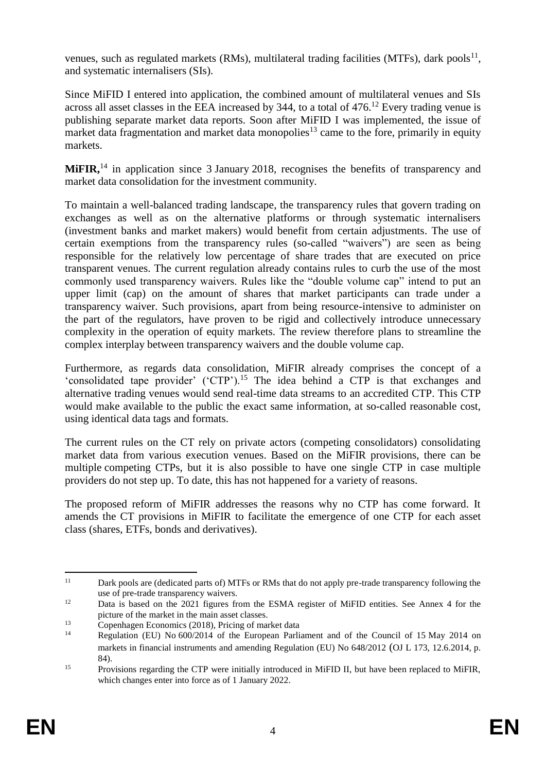venues, such as regulated markets (RMs), multilateral trading facilities (MTFs), dark pools<sup>11</sup>, and systematic internalisers (SIs).

Since MiFID I entered into application, the combined amount of multilateral venues and SIs across all asset classes in the EEA increased by 344, to a total of  $476$ <sup>12</sup> Every trading venue is publishing separate market data reports. Soon after MiFID I was implemented, the issue of market data fragmentation and market data monopolies<sup>13</sup> came to the fore, primarily in equity markets.

**MiFIR**,<sup>14</sup> in application since 3 January 2018, recognises the benefits of transparency and market data consolidation for the investment community.

To maintain a well-balanced trading landscape, the transparency rules that govern trading on exchanges as well as on the alternative platforms or through systematic internalisers (investment banks and market makers) would benefit from certain adjustments. The use of certain exemptions from the transparency rules (so-called "waivers") are seen as being responsible for the relatively low percentage of share trades that are executed on price transparent venues. The current regulation already contains rules to curb the use of the most commonly used transparency waivers. Rules like the "double volume cap" intend to put an upper limit (cap) on the amount of shares that market participants can trade under a transparency waiver. Such provisions, apart from being resource-intensive to administer on the part of the regulators, have proven to be rigid and collectively introduce unnecessary complexity in the operation of equity markets. The review therefore plans to streamline the complex interplay between transparency waivers and the double volume cap.

Furthermore, as regards data consolidation, MiFIR already comprises the concept of a 'consolidated tape provider' ('CTP').<sup>15</sup> The idea behind a CTP is that exchanges and alternative trading venues would send real-time data streams to an accredited CTP. This CTP would make available to the public the exact same information, at so-called reasonable cost, using identical data tags and formats.

The current rules on the CT rely on private actors (competing consolidators) consolidating market data from various execution venues. Based on the MiFIR provisions, there can be multiple competing CTPs, but it is also possible to have one single CTP in case multiple providers do not step up. To date, this has not happened for a variety of reasons.

The proposed reform of MiFIR addresses the reasons why no CTP has come forward. It amends the CT provisions in MiFIR to facilitate the emergence of one CTP for each asset class (shares, ETFs, bonds and derivatives).

 $11$ Dark pools are (dedicated parts of) MTFs or RMs that do not apply pre-trade transparency following the use of pre-trade transparency waivers.

<sup>&</sup>lt;sup>12</sup> Data is based on the 2021 figures from the ESMA register of MiFID entities. See Annex 4 for the picture of the market in the main asset classes.

 $\frac{13}{14}$  Copenhagen Economics (2018), Pricing of market data

Regulation (EU) No 600/2014 of the European Parliament and of the Council of 15 May 2014 on markets in financial instruments and amending Regulation (EU) No 648/2012 (OJ L 173, 12.6.2014, p. 84).

<sup>&</sup>lt;sup>15</sup> Provisions regarding the CTP were initially introduced in MiFID II, but have been replaced to MiFIR, which changes enter into force as of 1 January 2022.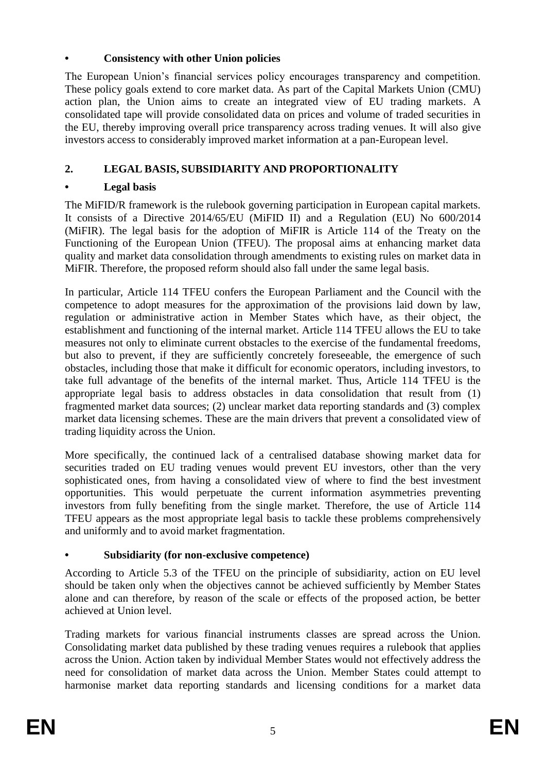## **• Consistency with other Union policies**

The European Union's financial services policy encourages transparency and competition. These policy goals extend to core market data. As part of the Capital Markets Union (CMU) action plan, the Union aims to create an integrated view of EU trading markets. A consolidated tape will provide consolidated data on prices and volume of traded securities in the EU, thereby improving overall price transparency across trading venues. It will also give investors access to considerably improved market information at a pan-European level.

# **2. LEGAL BASIS, SUBSIDIARITY AND PROPORTIONALITY**

### **• Legal basis**

The MiFID/R framework is the rulebook governing participation in European capital markets. It consists of a Directive 2014/65/EU (MiFID II) and a Regulation (EU) No 600/2014 (MiFIR). The legal basis for the adoption of MiFIR is Article 114 of the Treaty on the Functioning of the European Union (TFEU). The proposal aims at enhancing market data quality and market data consolidation through amendments to existing rules on market data in MiFIR. Therefore, the proposed reform should also fall under the same legal basis.

In particular, Article 114 TFEU confers the European Parliament and the Council with the competence to adopt measures for the approximation of the provisions laid down by law, regulation or administrative action in Member States which have, as their object, the establishment and functioning of the internal market. Article 114 TFEU allows the EU to take measures not only to eliminate current obstacles to the exercise of the fundamental freedoms, but also to prevent, if they are sufficiently concretely foreseeable, the emergence of such obstacles, including those that make it difficult for economic operators, including investors, to take full advantage of the benefits of the internal market. Thus, Article 114 TFEU is the appropriate legal basis to address obstacles in data consolidation that result from (1) fragmented market data sources; (2) unclear market data reporting standards and (3) complex market data licensing schemes. These are the main drivers that prevent a consolidated view of trading liquidity across the Union.

More specifically, the continued lack of a centralised database showing market data for securities traded on EU trading venues would prevent EU investors, other than the very sophisticated ones, from having a consolidated view of where to find the best investment opportunities. This would perpetuate the current information asymmetries preventing investors from fully benefiting from the single market. Therefore, the use of Article 114 TFEU appears as the most appropriate legal basis to tackle these problems comprehensively and uniformly and to avoid market fragmentation.

#### **• Subsidiarity (for non-exclusive competence)**

According to Article 5.3 of the TFEU on the principle of subsidiarity, action on EU level should be taken only when the objectives cannot be achieved sufficiently by Member States alone and can therefore, by reason of the scale or effects of the proposed action, be better achieved at Union level.

Trading markets for various financial instruments classes are spread across the Union. Consolidating market data published by these trading venues requires a rulebook that applies across the Union. Action taken by individual Member States would not effectively address the need for consolidation of market data across the Union. Member States could attempt to harmonise market data reporting standards and licensing conditions for a market data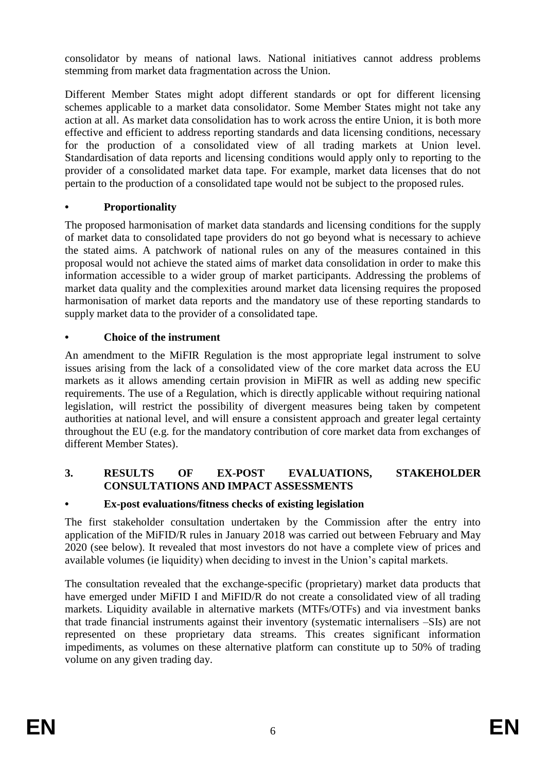consolidator by means of national laws. National initiatives cannot address problems stemming from market data fragmentation across the Union.

Different Member States might adopt different standards or opt for different licensing schemes applicable to a market data consolidator. Some Member States might not take any action at all. As market data consolidation has to work across the entire Union, it is both more effective and efficient to address reporting standards and data licensing conditions, necessary for the production of a consolidated view of all trading markets at Union level. Standardisation of data reports and licensing conditions would apply only to reporting to the provider of a consolidated market data tape. For example, market data licenses that do not pertain to the production of a consolidated tape would not be subject to the proposed rules.

## **• Proportionality**

The proposed harmonisation of market data standards and licensing conditions for the supply of market data to consolidated tape providers do not go beyond what is necessary to achieve the stated aims. A patchwork of national rules on any of the measures contained in this proposal would not achieve the stated aims of market data consolidation in order to make this information accessible to a wider group of market participants. Addressing the problems of market data quality and the complexities around market data licensing requires the proposed harmonisation of market data reports and the mandatory use of these reporting standards to supply market data to the provider of a consolidated tape.

## **• Choice of the instrument**

An amendment to the MiFIR Regulation is the most appropriate legal instrument to solve issues arising from the lack of a consolidated view of the core market data across the EU markets as it allows amending certain provision in MiFIR as well as adding new specific requirements. The use of a Regulation, which is directly applicable without requiring national legislation, will restrict the possibility of divergent measures being taken by competent authorities at national level, and will ensure a consistent approach and greater legal certainty throughout the EU (e.g. for the mandatory contribution of core market data from exchanges of different Member States).

#### **3. RESULTS OF EX-POST EVALUATIONS, STAKEHOLDER CONSULTATIONS AND IMPACT ASSESSMENTS**

# **• Ex-post evaluations/fitness checks of existing legislation**

The first stakeholder consultation undertaken by the Commission after the entry into application of the MiFID/R rules in January 2018 was carried out between February and May 2020 (see below). It revealed that most investors do not have a complete view of prices and available volumes (ie liquidity) when deciding to invest in the Union's capital markets.

The consultation revealed that the exchange-specific (proprietary) market data products that have emerged under MiFID I and MiFID/R do not create a consolidated view of all trading markets. Liquidity available in alternative markets (MTFs/OTFs) and via investment banks that trade financial instruments against their inventory (systematic internalisers –SIs) are not represented on these proprietary data streams. This creates significant information impediments, as volumes on these alternative platform can constitute up to 50% of trading volume on any given trading day.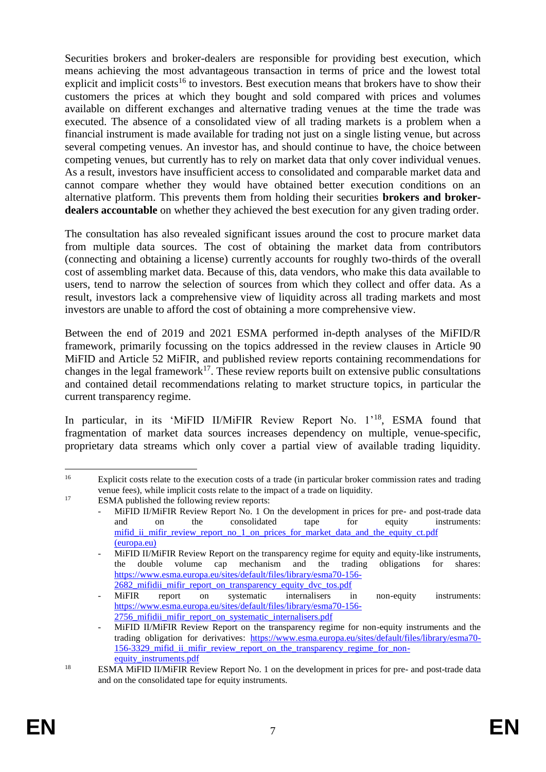Securities brokers and broker-dealers are responsible for providing best execution, which means achieving the most advantageous transaction in terms of price and the lowest total explicit and implicit costs<sup>16</sup> to investors. Best execution means that brokers have to show their customers the prices at which they bought and sold compared with prices and volumes available on different exchanges and alternative trading venues at the time the trade was executed. The absence of a consolidated view of all trading markets is a problem when a financial instrument is made available for trading not just on a single listing venue, but across several competing venues. An investor has, and should continue to have, the choice between competing venues, but currently has to rely on market data that only cover individual venues. As a result, investors have insufficient access to consolidated and comparable market data and cannot compare whether they would have obtained better execution conditions on an alternative platform. This prevents them from holding their securities **brokers and brokerdealers accountable** on whether they achieved the best execution for any given trading order.

The consultation has also revealed significant issues around the cost to procure market data from multiple data sources. The cost of obtaining the market data from contributors (connecting and obtaining a license) currently accounts for roughly two-thirds of the overall cost of assembling market data. Because of this, data vendors, who make this data available to users, tend to narrow the selection of sources from which they collect and offer data. As a result, investors lack a comprehensive view of liquidity across all trading markets and most investors are unable to afford the cost of obtaining a more comprehensive view.

Between the end of 2019 and 2021 ESMA performed in-depth analyses of the MiFID/R framework, primarily focussing on the topics addressed in the review clauses in Article 90 MiFID and Article 52 MiFIR, and published review reports containing recommendations for changes in the legal framework<sup>17</sup>. These review reports built on extensive public consultations and contained detail recommendations relating to market structure topics, in particular the current transparency regime.

In particular, in its 'MiFID II/MiFIR Review Report No. 1'<sup>18</sup>, ESMA found that fragmentation of market data sources increases dependency on multiple, venue-specific, proprietary data streams which only cover a partial view of available trading liquidity.

 $16$ <sup>16</sup> Explicit costs relate to the execution costs of a trade (in particular broker commission rates and trading venue fees), while implicit costs relate to the impact of a trade on liquidity.

<sup>&</sup>lt;sup>17</sup> ESMA published the following review reports:

MiFID II/MiFIR Review Report No. 1 On the development in prices for pre- and post-trade data and on the consolidated tape for equity instruments: mifid\_ii\_mifir\_review\_report\_no\_1\_on\_prices\_for\_market\_data\_and\_the\_equity\_ct.pdf [\(europa.eu\)](https://www.esma.europa.eu/sites/default/files/library/mifid_ii_mifir_review_report_no_1_on_prices_for_market_data_and_the_equity_ct.pdf)

MiFID II/MiFIR Review Report on the transparency regime for equity and equity-like instruments, the double volume cap mechanism and the trading obligations for shares: [https://www.esma.europa.eu/sites/default/files/library/esma70-156-](https://www.esma.europa.eu/sites/default/files/library/esma70-156-2682_mifidii_mifir_report_on_transparency_equity_dvc_tos.pdf) 2682 mifidii mifir report on transparency equity dvc tos.pdf

MiFIR report on systematic internalisers in non-equity instruments: [https://www.esma.europa.eu/sites/default/files/library/esma70-156-](https://www.esma.europa.eu/sites/default/files/library/esma70-156-2756_mifidii_mifir_report_on_systematic_internalisers.pdf) 2756 mifidii mifir report on systematic internalisers.pdf

MiFID II/MiFIR Review Report on the transparency regime for non-equity instruments and the trading obligation for derivatives: [https://www.esma.europa.eu/sites/default/files/library/esma70-](https://www.esma.europa.eu/sites/default/files/library/esma70-156-3329_mifid_ii_mifir_review_report_on_the_transparency_regime_for_non-equity_instruments.pdf) 156-3329 mifid ii mifir review report on the transparency regime for non[equity\\_instruments.pdf](https://www.esma.europa.eu/sites/default/files/library/esma70-156-3329_mifid_ii_mifir_review_report_on_the_transparency_regime_for_non-equity_instruments.pdf)

<sup>&</sup>lt;sup>18</sup> ESMA MiFID II/MiFIR Review Report No. 1 on the development in prices for pre- and post-trade data and on the consolidated tape for equity instruments.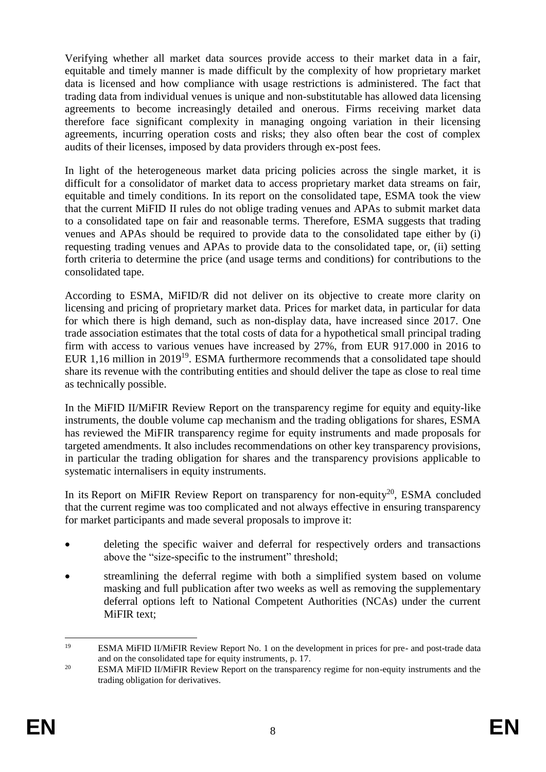Verifying whether all market data sources provide access to their market data in a fair, equitable and timely manner is made difficult by the complexity of how proprietary market data is licensed and how compliance with usage restrictions is administered. The fact that trading data from individual venues is unique and non-substitutable has allowed data licensing agreements to become increasingly detailed and onerous. Firms receiving market data therefore face significant complexity in managing ongoing variation in their licensing agreements, incurring operation costs and risks; they also often bear the cost of complex audits of their licenses, imposed by data providers through ex-post fees.

In light of the heterogeneous market data pricing policies across the single market, it is difficult for a consolidator of market data to access proprietary market data streams on fair, equitable and timely conditions. In its report on the consolidated tape, ESMA took the view that the current MiFID II rules do not oblige trading venues and APAs to submit market data to a consolidated tape on fair and reasonable terms. Therefore, ESMA suggests that trading venues and APAs should be required to provide data to the consolidated tape either by (i) requesting trading venues and APAs to provide data to the consolidated tape, or, (ii) setting forth criteria to determine the price (and usage terms and conditions) for contributions to the consolidated tape.

According to ESMA, MiFID/R did not deliver on its objective to create more clarity on licensing and pricing of proprietary market data. Prices for market data, in particular for data for which there is high demand, such as non-display data, have increased since 2017. One trade association estimates that the total costs of data for a hypothetical small principal trading firm with access to various venues have increased by 27%, from EUR 917.000 in 2016 to EUR 1,16 million in 2019<sup>19</sup>. ESMA furthermore recommends that a consolidated tape should share its revenue with the contributing entities and should deliver the tape as close to real time as technically possible.

In the MiFID II/MiFIR Review Report on the transparency regime for equity and equity-like instruments, the double volume cap mechanism and the trading obligations for shares, ESMA has reviewed the MiFIR transparency regime for equity instruments and made proposals for targeted amendments. It also includes recommendations on other key transparency provisions, in particular the trading obligation for shares and the transparency provisions applicable to systematic internalisers in equity instruments.

In its [Report on MiFIR Review Report on transparency for non-equity](https://www.esma.europa.eu/press-news/consultations/consultation-paper-mifir-review-report-transparency-non-equity-tod)<sup>20</sup>, ESMA concluded that the current regime was too complicated and not always effective in ensuring transparency for market participants and made several proposals to improve it:

- deleting the specific waiver and deferral for respectively orders and transactions above the "size-specific to the instrument" threshold;
- streamlining the deferral regime with both a simplified system based on volume masking and full publication after two weeks as well as removing the supplementary deferral options left to National Competent Authorities (NCAs) under the current MiFIR text;

<sup>19</sup> <sup>19</sup> ESMA MiFID II/MiFIR Review Report No. 1 on the development in prices for pre- and post-trade data and on the consolidated tape for equity instruments, p. 17.

<sup>&</sup>lt;sup>20</sup> ESMA MiFID II/MiFIR Review Report on the transparency regime for non-equity instruments and the trading obligation for derivatives.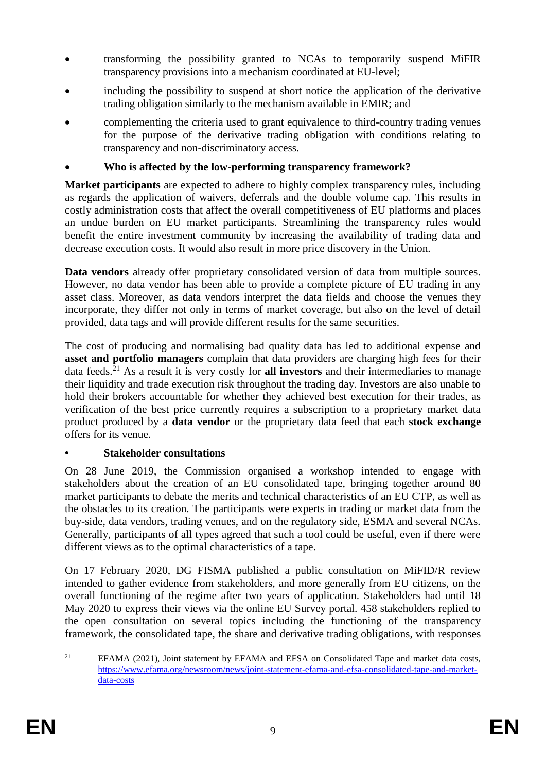- transforming the possibility granted to NCAs to temporarily suspend MiFIR transparency provisions into a mechanism coordinated at EU-level;
- including the possibility to suspend at short notice the application of the derivative trading obligation similarly to the mechanism available in EMIR; and
- complementing the criteria used to grant equivalence to third-country trading venues for the purpose of the derivative trading obligation with conditions relating to transparency and non-discriminatory access.

## **Who is affected by the low-performing transparency framework?**

**Market participants** are expected to adhere to highly complex transparency rules, including as regards the application of waivers, deferrals and the double volume cap. This results in costly administration costs that affect the overall competitiveness of EU platforms and places an undue burden on EU market participants. Streamlining the transparency rules would benefit the entire investment community by increasing the availability of trading data and decrease execution costs. It would also result in more price discovery in the Union.

**Data vendors** already offer proprietary consolidated version of data from multiple sources. However, no data vendor has been able to provide a complete picture of EU trading in any asset class. Moreover, as data vendors interpret the data fields and choose the venues they incorporate, they differ not only in terms of market coverage, but also on the level of detail provided, data tags and will provide different results for the same securities.

The cost of producing and normalising bad quality data has led to additional expense and **asset and portfolio managers** complain that data providers are charging high fees for their data feeds.<sup>21</sup> As a result it is very costly for **all investors** and their intermediaries to manage their liquidity and trade execution risk throughout the trading day. Investors are also unable to hold their brokers accountable for whether they achieved best execution for their trades, as verification of the best price currently requires a subscription to a proprietary market data product produced by a **data vendor** or the proprietary data feed that each **stock exchange** offers for its venue.

#### **• Stakeholder consultations**

On 28 June 2019, the Commission organised a workshop intended to engage with stakeholders about the creation of an EU consolidated tape, bringing together around 80 market participants to debate the merits and technical characteristics of an EU CTP, as well as the obstacles to its creation. The participants were experts in trading or market data from the buy-side, data vendors, trading venues, and on the regulatory side, ESMA and several NCAs. Generally, participants of all types agreed that such a tool could be useful, even if there were different views as to the optimal characteristics of a tape.

On 17 February 2020, DG FISMA published a public consultation on MiFID/R review intended to gather evidence from stakeholders, and more generally from EU citizens, on the overall functioning of the regime after two years of application. Stakeholders had until 18 May 2020 to express their views via the online EU Survey portal. 458 stakeholders replied to the open consultation on several topics including the functioning of the transparency framework, the consolidated tape, the share and derivative trading obligations, with responses

 $21$ EFAMA (2021), Joint statement by EFAMA and EFSA on Consolidated Tape and market data costs, [https://www.efama.org/newsroom/news/joint-statement-efama-and-efsa-consolidated-tape-and-market](https://www.efama.org/newsroom/news/joint-statement-efama-and-efsa-consolidated-tape-and-market-data-costs)[data-costs](https://www.efama.org/newsroom/news/joint-statement-efama-and-efsa-consolidated-tape-and-market-data-costs)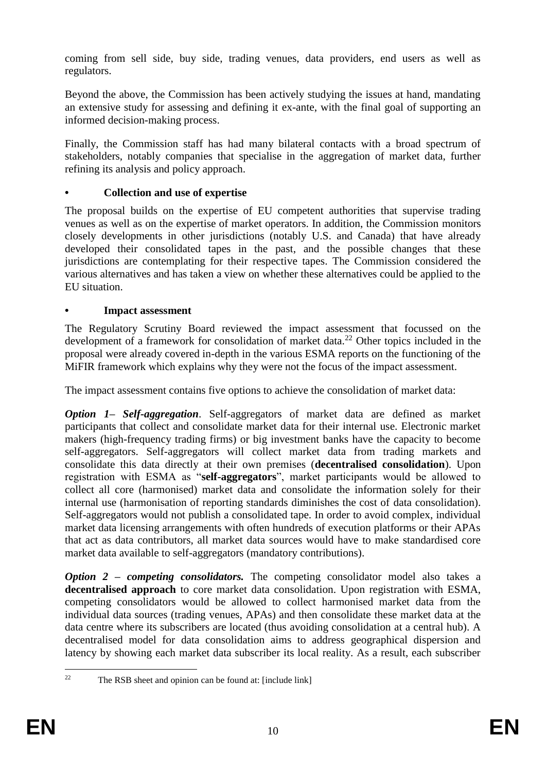coming from sell side, buy side, trading venues, data providers, end users as well as regulators.

Beyond the above, the Commission has been actively studying the issues at hand, mandating an extensive study for assessing and defining it ex-ante, with the final goal of supporting an informed decision-making process.

Finally, the Commission staff has had many bilateral contacts with a broad spectrum of stakeholders, notably companies that specialise in the aggregation of market data, further refining its analysis and policy approach.

## **• Collection and use of expertise**

The proposal builds on the expertise of EU competent authorities that supervise trading venues as well as on the expertise of market operators. In addition, the Commission monitors closely developments in other jurisdictions (notably U.S. and Canada) that have already developed their consolidated tapes in the past, and the possible changes that these jurisdictions are contemplating for their respective tapes. The Commission considered the various alternatives and has taken a view on whether these alternatives could be applied to the EU situation.

## **• Impact assessment**

The Regulatory Scrutiny Board reviewed the impact assessment that focussed on the development of a framework for consolidation of market data.<sup>22</sup> Other topics included in the proposal were already covered in-depth in the various ESMA reports on the functioning of the MiFIR framework which explains why they were not the focus of the impact assessment.

The impact assessment contains five options to achieve the consolidation of market data:

*Option 1– Self-aggregation*. Self-aggregators of market data are defined as market participants that collect and consolidate market data for their internal use. Electronic market makers (high-frequency trading firms) or big investment banks have the capacity to become self-aggregators. Self-aggregators will collect market data from trading markets and consolidate this data directly at their own premises (**decentralised consolidation**). Upon registration with ESMA as "**self-aggregators**", market participants would be allowed to collect all core (harmonised) market data and consolidate the information solely for their internal use (harmonisation of reporting standards diminishes the cost of data consolidation). Self-aggregators would not publish a consolidated tape. In order to avoid complex, individual market data licensing arrangements with often hundreds of execution platforms or their APAs that act as data contributors, all market data sources would have to make standardised core market data available to self-aggregators (mandatory contributions).

*Option 2 – competing consolidators.* The competing consolidator model also takes a **decentralised approach** to core market data consolidation. Upon registration with ESMA, competing consolidators would be allowed to collect harmonised market data from the individual data sources (trading venues, APAs) and then consolidate these market data at the data centre where its subscribers are located (thus avoiding consolidation at a central hub). A decentralised model for data consolidation aims to address geographical dispersion and latency by showing each market data subscriber its local reality. As a result, each subscriber

 $22$ The RSB sheet and opinion can be found at: [include link]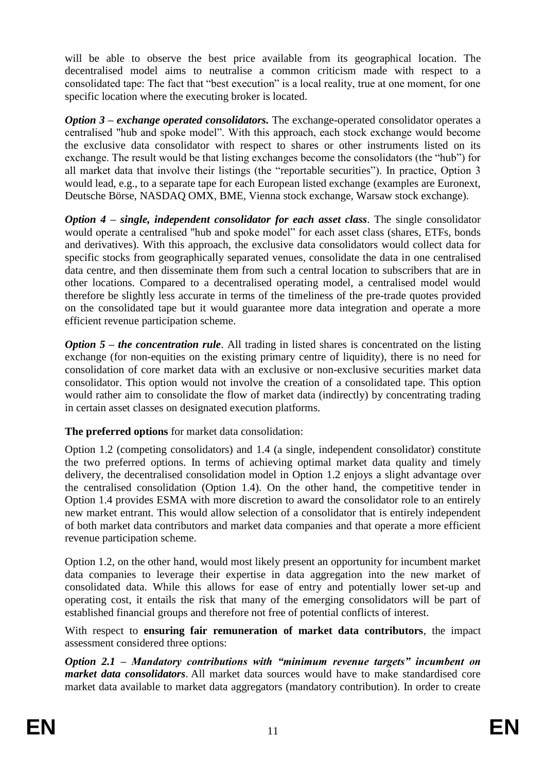will be able to observe the best price available from its geographical location. The decentralised model aims to neutralise a common criticism made with respect to a consolidated tape: The fact that "best execution" is a local reality, true at one moment, for one specific location where the executing broker is located.

*Option 3 – exchange operated consolidators.* The exchange-operated consolidator operates a centralised "hub and spoke model". With this approach, each stock exchange would become the exclusive data consolidator with respect to shares or other instruments listed on its exchange. The result would be that listing exchanges become the consolidators (the "hub") for all market data that involve their listings (the "reportable securities"). In practice, Option 3 would lead, e.g., to a separate tape for each European listed exchange (examples are Euronext, Deutsche Börse, NASDAQ OMX, BME, Vienna stock exchange, Warsaw stock exchange).

*Option 4 – single, independent consolidator for each asset class*. The single consolidator would operate a centralised "hub and spoke model" for each asset class (shares, ETFs, bonds and derivatives). With this approach, the exclusive data consolidators would collect data for specific stocks from geographically separated venues, consolidate the data in one centralised data centre, and then disseminate them from such a central location to subscribers that are in other locations. Compared to a decentralised operating model, a centralised model would therefore be slightly less accurate in terms of the timeliness of the pre-trade quotes provided on the consolidated tape but it would guarantee more data integration and operate a more efficient revenue participation scheme.

*Option 5 – the concentration rule*. All trading in listed shares is concentrated on the listing exchange (for non-equities on the existing primary centre of liquidity), there is no need for consolidation of core market data with an exclusive or non-exclusive securities market data consolidator. This option would not involve the creation of a consolidated tape. This option would rather aim to consolidate the flow of market data (indirectly) by concentrating trading in certain asset classes on designated execution platforms.

**The preferred options** for market data consolidation:

Option 1.2 (competing consolidators) and 1.4 (a single, independent consolidator) constitute the two preferred options. In terms of achieving optimal market data quality and timely delivery, the decentralised consolidation model in Option 1.2 enjoys a slight advantage over the centralised consolidation (Option 1.4). On the other hand, the competitive tender in Option 1.4 provides ESMA with more discretion to award the consolidator role to an entirely new market entrant. This would allow selection of a consolidator that is entirely independent of both market data contributors and market data companies and that operate a more efficient revenue participation scheme.

Option 1.2, on the other hand, would most likely present an opportunity for incumbent market data companies to leverage their expertise in data aggregation into the new market of consolidated data. While this allows for ease of entry and potentially lower set-up and operating cost, it entails the risk that many of the emerging consolidators will be part of established financial groups and therefore not free of potential conflicts of interest.

With respect to **ensuring fair remuneration of market data contributors**, the impact assessment considered three options:

*Option 2.1 – Mandatory contributions with "minimum revenue targets" incumbent on market data consolidators*. All market data sources would have to make standardised core market data available to market data aggregators (mandatory contribution). In order to create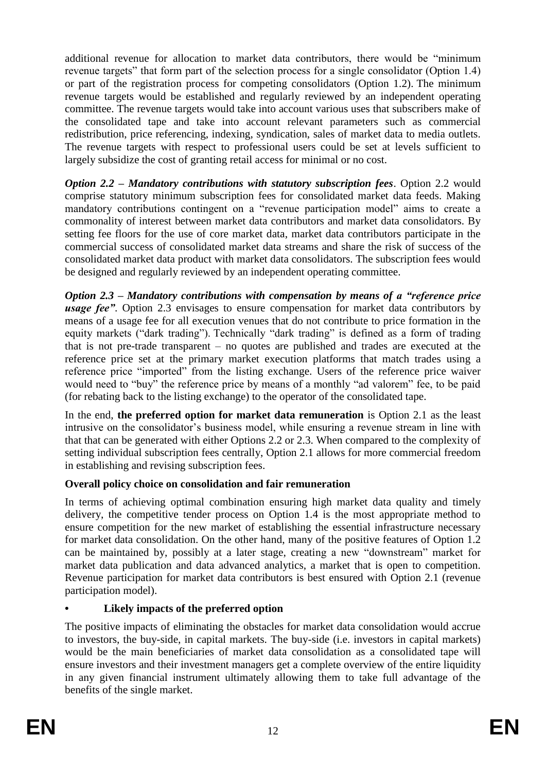additional revenue for allocation to market data contributors, there would be "minimum revenue targets" that form part of the selection process for a single consolidator (Option 1.4) or part of the registration process for competing consolidators (Option 1.2). The minimum revenue targets would be established and regularly reviewed by an independent operating committee. The revenue targets would take into account various uses that subscribers make of the consolidated tape and take into account relevant parameters such as commercial redistribution, price referencing, indexing, syndication, sales of market data to media outlets. The revenue targets with respect to professional users could be set at levels sufficient to largely subsidize the cost of granting retail access for minimal or no cost.

*Option 2.2 – Mandatory contributions with statutory subscription fees*. Option 2.2 would comprise statutory minimum subscription fees for consolidated market data feeds. Making mandatory contributions contingent on a "revenue participation model" aims to create a commonality of interest between market data contributors and market data consolidators. By setting fee floors for the use of core market data, market data contributors participate in the commercial success of consolidated market data streams and share the risk of success of the consolidated market data product with market data consolidators. The subscription fees would be designed and regularly reviewed by an independent operating committee.

*Option 2.3 – Mandatory contributions with compensation by means of a "reference price usage fee"*. Option 2.3 envisages to ensure compensation for market data contributors by means of a usage fee for all execution venues that do not contribute to price formation in the equity markets ("dark trading"). Technically "dark trading" is defined as a form of trading that is not pre-trade transparent – no quotes are published and trades are executed at the reference price set at the primary market execution platforms that match trades using a reference price "imported" from the listing exchange. Users of the reference price waiver would need to "buy" the reference price by means of a monthly "ad valorem" fee, to be paid (for rebating back to the listing exchange) to the operator of the consolidated tape.

In the end, **the preferred option for market data remuneration** is Option 2.1 as the least intrusive on the consolidator's business model, while ensuring a revenue stream in line with that that can be generated with either Options 2.2 or 2.3. When compared to the complexity of setting individual subscription fees centrally, Option 2.1 allows for more commercial freedom in establishing and revising subscription fees.

# **Overall policy choice on consolidation and fair remuneration**

In terms of achieving optimal combination ensuring high market data quality and timely delivery, the competitive tender process on Option 1.4 is the most appropriate method to ensure competition for the new market of establishing the essential infrastructure necessary for market data consolidation. On the other hand, many of the positive features of Option 1.2 can be maintained by, possibly at a later stage, creating a new "downstream" market for market data publication and data advanced analytics, a market that is open to competition. Revenue participation for market data contributors is best ensured with Option 2.1 (revenue participation model).

# **• Likely impacts of the preferred option**

The positive impacts of eliminating the obstacles for market data consolidation would accrue to investors, the buy-side, in capital markets. The buy-side (i.e. investors in capital markets) would be the main beneficiaries of market data consolidation as a consolidated tape will ensure investors and their investment managers get a complete overview of the entire liquidity in any given financial instrument ultimately allowing them to take full advantage of the benefits of the single market.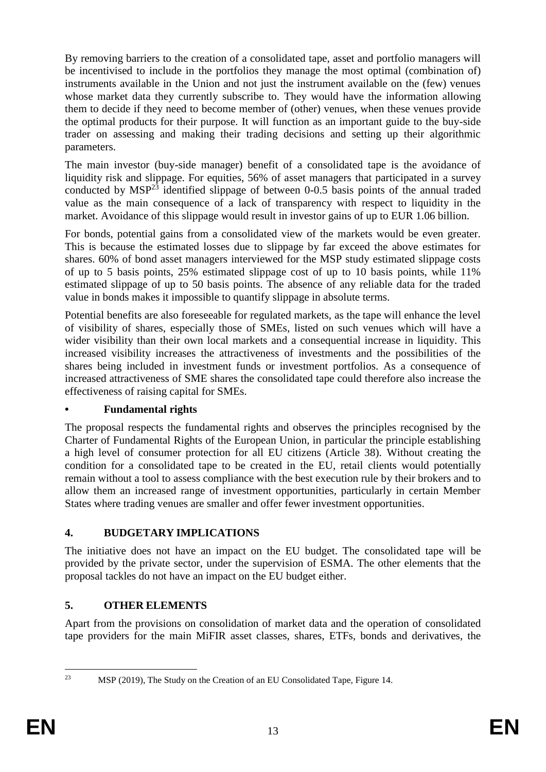By removing barriers to the creation of a consolidated tape, asset and portfolio managers will be incentivised to include in the portfolios they manage the most optimal (combination of) instruments available in the Union and not just the instrument available on the (few) venues whose market data they currently subscribe to. They would have the information allowing them to decide if they need to become member of (other) venues, when these venues provide the optimal products for their purpose. It will function as an important guide to the buy-side trader on assessing and making their trading decisions and setting up their algorithmic parameters.

The main investor (buy-side manager) benefit of a consolidated tape is the avoidance of liquidity risk and slippage. For equities, 56% of asset managers that participated in a survey conducted by  $MSP<sup>23</sup>$  identified slippage of between 0-0.5 basis points of the annual traded value as the main consequence of a lack of transparency with respect to liquidity in the market. Avoidance of this slippage would result in investor gains of up to EUR 1.06 billion.

For bonds, potential gains from a consolidated view of the markets would be even greater. This is because the estimated losses due to slippage by far exceed the above estimates for shares. 60% of bond asset managers interviewed for the MSP study estimated slippage costs of up to 5 basis points, 25% estimated slippage cost of up to 10 basis points, while 11% estimated slippage of up to 50 basis points. The absence of any reliable data for the traded value in bonds makes it impossible to quantify slippage in absolute terms.

Potential benefits are also foreseeable for regulated markets, as the tape will enhance the level of visibility of shares, especially those of SMEs, listed on such venues which will have a wider visibility than their own local markets and a consequential increase in liquidity. This increased visibility increases the attractiveness of investments and the possibilities of the shares being included in investment funds or investment portfolios. As a consequence of increased attractiveness of SME shares the consolidated tape could therefore also increase the effectiveness of raising capital for SMEs.

#### **• Fundamental rights**

The proposal respects the fundamental rights and observes the principles recognised by the Charter of Fundamental Rights of the European Union, in particular the principle establishing a high level of consumer protection for all EU citizens (Article 38). Without creating the condition for a consolidated tape to be created in the EU, retail clients would potentially remain without a tool to assess compliance with the best execution rule by their brokers and to allow them an increased range of investment opportunities, particularly in certain Member States where trading venues are smaller and offer fewer investment opportunities.

# **4. BUDGETARY IMPLICATIONS**

The initiative does not have an impact on the EU budget. The consolidated tape will be provided by the private sector, under the supervision of ESMA. The other elements that the proposal tackles do not have an impact on the EU budget either.

# **5. OTHER ELEMENTS**

Apart from the provisions on consolidation of market data and the operation of consolidated tape providers for the main MiFIR asset classes, shares, ETFs, bonds and derivatives, the

 $2<sub>3</sub>$ MSP (2019), The Study on the Creation of an EU Consolidated Tape, Figure 14.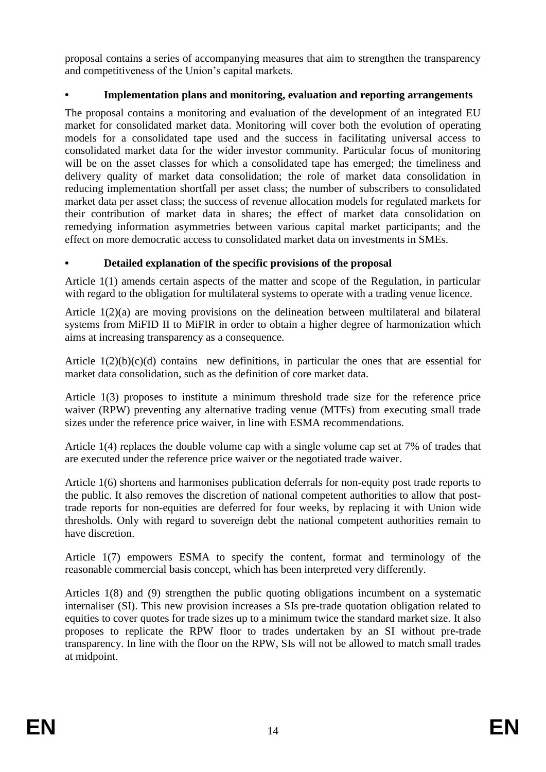proposal contains a series of accompanying measures that aim to strengthen the transparency and competitiveness of the Union's capital markets.

## **• Implementation plans and monitoring, evaluation and reporting arrangements**

The proposal contains a monitoring and evaluation of the development of an integrated EU market for consolidated market data. Monitoring will cover both the evolution of operating models for a consolidated tape used and the success in facilitating universal access to consolidated market data for the wider investor community. Particular focus of monitoring will be on the asset classes for which a consolidated tape has emerged; the timeliness and delivery quality of market data consolidation; the role of market data consolidation in reducing implementation shortfall per asset class; the number of subscribers to consolidated market data per asset class; the success of revenue allocation models for regulated markets for their contribution of market data in shares; the effect of market data consolidation on remedying information asymmetries between various capital market participants; and the effect on more democratic access to consolidated market data on investments in SMEs.

#### **• Detailed explanation of the specific provisions of the proposal**

Article 1(1) amends certain aspects of the matter and scope of the Regulation, in particular with regard to the obligation for multilateral systems to operate with a trading venue licence.

Article 1(2)(a) are moving provisions on the delineation between multilateral and bilateral systems from MiFID II to MiFIR in order to obtain a higher degree of harmonization which aims at increasing transparency as a consequence.

Article  $1(2)(b)(c)(d)$  contains new definitions, in particular the ones that are essential for market data consolidation, such as the definition of core market data.

Article 1(3) proposes to institute a minimum threshold trade size for the reference price waiver (RPW) preventing any alternative trading venue (MTFs) from executing small trade sizes under the reference price waiver, in line with ESMA recommendations.

Article 1(4) replaces the double volume cap with a single volume cap set at 7% of trades that are executed under the reference price waiver or the negotiated trade waiver.

Article 1(6) shortens and harmonises publication deferrals for non-equity post trade reports to the public. It also removes the discretion of national competent authorities to allow that posttrade reports for non-equities are deferred for four weeks, by replacing it with Union wide thresholds. Only with regard to sovereign debt the national competent authorities remain to have discretion.

Article 1(7) empowers ESMA to specify the content, format and terminology of the reasonable commercial basis concept, which has been interpreted very differently.

Articles 1(8) and (9) strengthen the public quoting obligations incumbent on a systematic internaliser (SI). This new provision increases a SIs pre-trade quotation obligation related to equities to cover quotes for trade sizes up to a minimum twice the standard market size. It also proposes to replicate the RPW floor to trades undertaken by an SI without pre-trade transparency. In line with the floor on the RPW, SIs will not be allowed to match small trades at midpoint.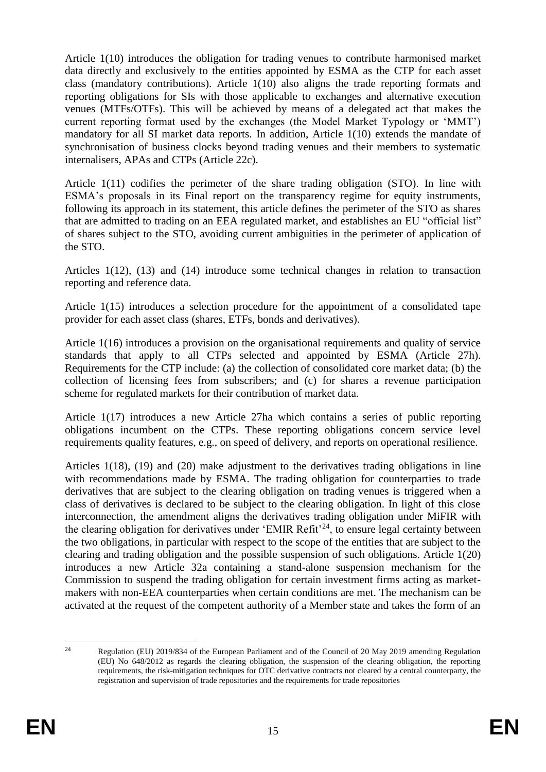Article 1(10) introduces the obligation for trading venues to contribute harmonised market data directly and exclusively to the entities appointed by ESMA as the CTP for each asset class (mandatory contributions). Article 1(10) also aligns the trade reporting formats and reporting obligations for SIs with those applicable to exchanges and alternative execution venues (MTFs/OTFs). This will be achieved by means of a delegated act that makes the current reporting format used by the exchanges (the Model Market Typology or 'MMT') mandatory for all SI market data reports. In addition, Article 1(10) extends the mandate of synchronisation of business clocks beyond trading venues and their members to systematic internalisers, APAs and CTPs (Article 22c).

Article 1(11) codifies the perimeter of the share trading obligation (STO). In line with ESMA's proposals in its Final report on the transparency regime for equity instruments, following its approach in its statement, this article defines the perimeter of the STO as shares that are admitted to trading on an EEA regulated market, and establishes an EU "official list" of shares subject to the STO, avoiding current ambiguities in the perimeter of application of the STO.

Articles 1(12), (13) and (14) introduce some technical changes in relation to transaction reporting and reference data.

Article 1(15) introduces a selection procedure for the appointment of a consolidated tape provider for each asset class (shares, ETFs, bonds and derivatives).

Article 1(16) introduces a provision on the organisational requirements and quality of service standards that apply to all CTPs selected and appointed by ESMA (Article 27h). Requirements for the CTP include: (a) the collection of consolidated core market data; (b) the collection of licensing fees from subscribers; and (c) for shares a revenue participation scheme for regulated markets for their contribution of market data.

Article 1(17) introduces a new Article 27ha which contains a series of public reporting obligations incumbent on the CTPs. These reporting obligations concern service level requirements quality features, e.g., on speed of delivery, and reports on operational resilience.

Articles 1(18), (19) and (20) make adjustment to the derivatives trading obligations in line with recommendations made by ESMA. The trading obligation for counterparties to trade derivatives that are subject to the clearing obligation on trading venues is triggered when a class of derivatives is declared to be subject to the clearing obligation. In light of this close interconnection, the amendment aligns the derivatives trading obligation under MiFIR with the clearing obligation for derivatives under 'EMIR Refit'<sup>24</sup>, to ensure legal certainty between the two obligations, in particular with respect to the scope of the entities that are subject to the clearing and trading obligation and the possible suspension of such obligations. Article 1(20) introduces a new Article 32a containing a stand-alone suspension mechanism for the Commission to suspend the trading obligation for certain investment firms acting as marketmakers with non-EEA counterparties when certain conditions are met. The mechanism can be activated at the request of the competent authority of a Member state and takes the form of an

 $\overline{24}$ <sup>24</sup> Regulation (EU) 2019/834 of the European Parliament and of the Council of 20 May 2019 amending Regulation (EU) No 648/2012 as regards the clearing obligation, the suspension of the clearing obligation, the reporting requirements, the risk-mitigation techniques for OTC derivative contracts not cleared by a central counterparty, the registration and supervision of trade repositories and the requirements for trade repositories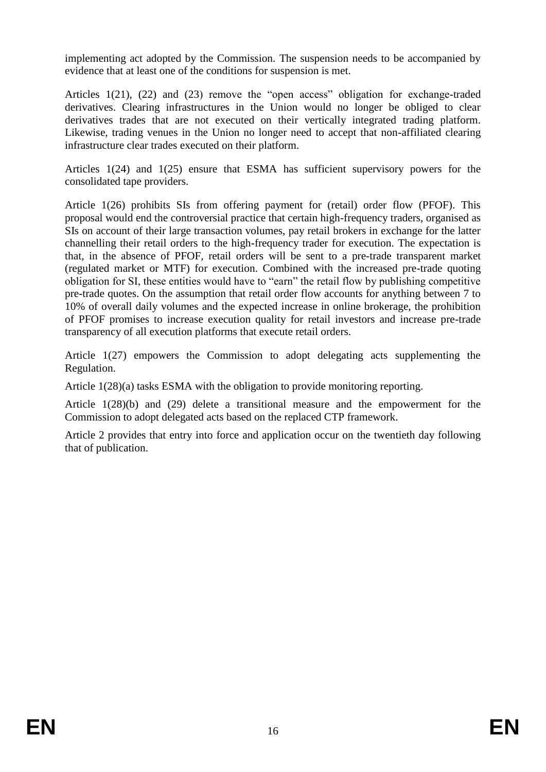implementing act adopted by the Commission. The suspension needs to be accompanied by evidence that at least one of the conditions for suspension is met.

Articles 1(21), (22) and (23) remove the "open access" obligation for exchange-traded derivatives. Clearing infrastructures in the Union would no longer be obliged to clear derivatives trades that are not executed on their vertically integrated trading platform. Likewise, trading venues in the Union no longer need to accept that non-affiliated clearing infrastructure clear trades executed on their platform.

Articles 1(24) and 1(25) ensure that ESMA has sufficient supervisory powers for the consolidated tape providers.

Article 1(26) prohibits SIs from offering payment for (retail) order flow (PFOF). This proposal would end the controversial practice that certain high-frequency traders, organised as SIs on account of their large transaction volumes, pay retail brokers in exchange for the latter channelling their retail orders to the high-frequency trader for execution. The expectation is that, in the absence of PFOF, retail orders will be sent to a pre-trade transparent market (regulated market or MTF) for execution. Combined with the increased pre-trade quoting obligation for SI, these entities would have to "earn" the retail flow by publishing competitive pre-trade quotes. On the assumption that retail order flow accounts for anything between 7 to 10% of overall daily volumes and the expected increase in online brokerage, the prohibition of PFOF promises to increase execution quality for retail investors and increase pre-trade transparency of all execution platforms that execute retail orders.

Article 1(27) empowers the Commission to adopt delegating acts supplementing the Regulation.

Article 1(28)(a) tasks ESMA with the obligation to provide monitoring reporting.

Article 1(28)(b) and (29) delete a transitional measure and the empowerment for the Commission to adopt delegated acts based on the replaced CTP framework.

Article 2 provides that entry into force and application occur on the twentieth day following that of publication.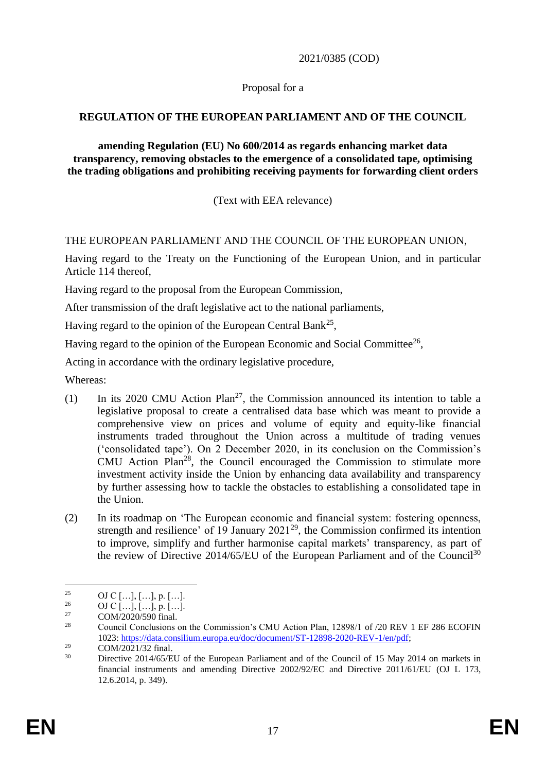2021/0385 (COD)

#### Proposal for a

### **REGULATION OF THE EUROPEAN PARLIAMENT AND OF THE COUNCIL**

**amending Regulation (EU) No 600/2014 as regards enhancing market data transparency, removing obstacles to the emergence of a consolidated tape, optimising the trading obligations and prohibiting receiving payments for forwarding client orders**

(Text with EEA relevance)

## THE EUROPEAN PARLIAMENT AND THE COUNCIL OF THE EUROPEAN UNION,

Having regard to the Treaty on the Functioning of the European Union, and in particular Article 114 thereof,

Having regard to the proposal from the European Commission,

After transmission of the draft legislative act to the national parliaments,

Having regard to the opinion of the European Central Bank<sup>25</sup>,

Having regard to the opinion of the European Economic and Social Committee<sup>26</sup>,

Acting in accordance with the ordinary legislative procedure,

Whereas:

- (1) In its 2020 CMU Action  $Plan^{27}$ , the Commission announced its intention to table a legislative proposal to create a centralised data base which was meant to provide a comprehensive view on prices and volume of equity and equity-like financial instruments traded throughout the Union across a multitude of trading venues ('consolidated tape'). On 2 December 2020, in its conclusion on the Commission's CMU Action Plan<sup>28</sup>, the Council encouraged the Commission to stimulate more investment activity inside the Union by enhancing data availability and transparency by further assessing how to tackle the obstacles to establishing a consolidated tape in the Union.
- (2) In its roadmap on 'The European economic and financial system: fostering openness, strength and resilience' of 19 January 2021<sup>29</sup>, the Commission confirmed its intention to improve, simplify and further harmonise capital markets' transparency, as part of the review of Directive  $2014/65/EU$  of the European Parliament and of the Council<sup>30</sup>

<sup>1</sup> <sup>25</sup> OJ C […], […], p. […].<br><sup>26</sup> OJ C […], […]

<sup>&</sup>lt;sup>26</sup> OJ C […], […], p. […].<br><sup>27</sup> COM/2020/500 final

 $27$  COM/2020/590 final.

<sup>28</sup> Council Conclusions on the Commission's CMU Action Plan, 12898/1 of /20 REV 1 EF 286 ECOFIN 1023: [https://data.consilium.europa.eu/doc/document/ST-12898-2020-REV-1/en/pdf;](https://data.consilium.europa.eu/doc/document/ST-12898-2020-REV-1/en/pdf)

 $29$  COM/2021/32 final.

Directive 2014/65/EU of the European Parliament and of the Council of 15 May 2014 on markets in financial instruments and amending Directive 2002/92/EC and Directive 2011/61/EU (OJ L 173, 12.6.2014, p. 349).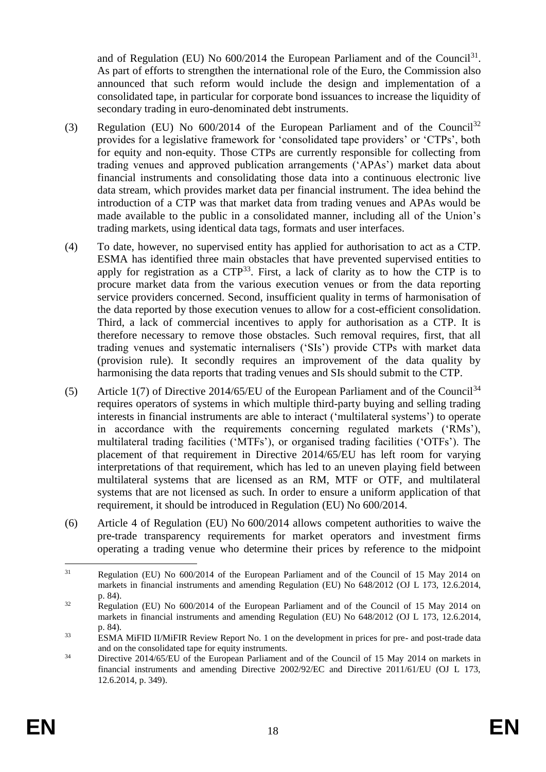and of Regulation (EU) No  $600/2014$  the European Parliament and of the Council<sup>31</sup>. As part of efforts to strengthen the international role of the Euro, the Commission also announced that such reform would include the design and implementation of a consolidated tape, in particular for corporate bond issuances to increase the liquidity of secondary trading in euro-denominated debt instruments.

- (3) Regulation (EU) No  $600/2014$  of the European Parliament and of the Council<sup>32</sup> provides for a legislative framework for 'consolidated tape providers' or 'CTPs', both for equity and non-equity. Those CTPs are currently responsible for collecting from trading venues and approved publication arrangements ('APAs') market data about financial instruments and consolidating those data into a continuous electronic live data stream, which provides market data per financial instrument. The idea behind the introduction of a CTP was that market data from trading venues and APAs would be made available to the public in a consolidated manner, including all of the Union's trading markets, using identical data tags, formats and user interfaces.
- (4) To date, however, no supervised entity has applied for authorisation to act as a CTP. ESMA has identified three main obstacles that have prevented supervised entities to apply for registration as a  $CTP<sup>33</sup>$ . First, a lack of clarity as to how the CTP is to procure market data from the various execution venues or from the data reporting service providers concerned. Second, insufficient quality in terms of harmonisation of the data reported by those execution venues to allow for a cost-efficient consolidation. Third, a lack of commercial incentives to apply for authorisation as a CTP. It is therefore necessary to remove those obstacles. Such removal requires, first, that all trading venues and systematic internalisers ('SIs') provide CTPs with market data (provision rule). It secondly requires an improvement of the data quality by harmonising the data reports that trading venues and SIs should submit to the CTP.
- (5) Article 1(7) of Directive 2014/65/EU of the European Parliament and of the Council<sup>34</sup> requires operators of systems in which multiple third-party buying and selling trading interests in financial instruments are able to interact ('multilateral systems') to operate in accordance with the requirements concerning regulated markets ('RMs'), multilateral trading facilities ('MTFs'), or organised trading facilities ('OTFs'). The placement of that requirement in Directive 2014/65/EU has left room for varying interpretations of that requirement, which has led to an uneven playing field between multilateral systems that are licensed as an RM, MTF or OTF, and multilateral systems that are not licensed as such. In order to ensure a uniform application of that requirement, it should be introduced in Regulation (EU) No 600/2014.
- (6) Article 4 of Regulation (EU) No 600/2014 allows competent authorities to waive the pre-trade transparency requirements for market operators and investment firms operating a trading venue who determine their prices by reference to the midpoint

<sup>1</sup> <sup>31</sup> Regulation (EU) No 600/2014 of the European Parliament and of the Council of 15 May 2014 on markets in financial instruments and amending Regulation (EU) No 648/2012 (OJ L 173, 12.6.2014, p. 84).

<sup>&</sup>lt;sup>32</sup> Regulation (EU) No 600/2014 of the European Parliament and of the Council of 15 May 2014 on markets in financial instruments and amending Regulation (EU) No 648/2012 (OJ L 173, 12.6.2014, p. 84).

<sup>&</sup>lt;sup>33</sup> ESMA MiFID II/MiFIR Review Report No. 1 on the development in prices for pre- and post-trade data and on the consolidated tape for equity instruments.

 $34$  Directive 2014/65/EU of the European Parliament and of the Council of 15 May 2014 on markets in financial instruments and amending Directive 2002/92/EC and Directive 2011/61/EU (OJ L 173, 12.6.2014, p. 349).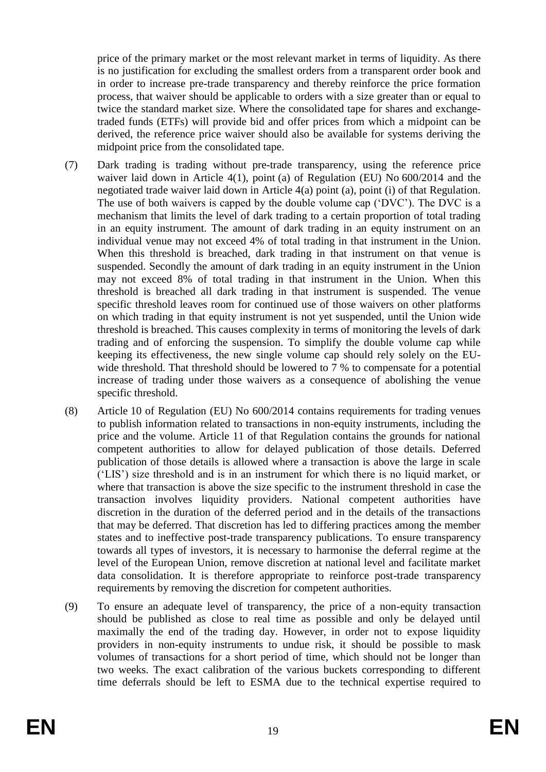price of the primary market or the most relevant market in terms of liquidity. As there is no justification for excluding the smallest orders from a transparent order book and in order to increase pre-trade transparency and thereby reinforce the price formation process, that waiver should be applicable to orders with a size greater than or equal to twice the standard market size. Where the consolidated tape for shares and exchangetraded funds (ETFs) will provide bid and offer prices from which a midpoint can be derived, the reference price waiver should also be available for systems deriving the midpoint price from the consolidated tape.

- (7) Dark trading is trading without pre-trade transparency, using the reference price waiver laid down in Article 4(1), point (a) of Regulation (EU) No 600/2014 and the negotiated trade waiver laid down in Article 4(a) point (a), point (i) of that Regulation. The use of both waivers is capped by the double volume cap ('DVC'). The DVC is a mechanism that limits the level of dark trading to a certain proportion of total trading in an equity instrument. The amount of dark trading in an equity instrument on an individual venue may not exceed 4% of total trading in that instrument in the Union. When this threshold is breached, dark trading in that instrument on that venue is suspended. Secondly the amount of dark trading in an equity instrument in the Union may not exceed 8% of total trading in that instrument in the Union. When this threshold is breached all dark trading in that instrument is suspended. The venue specific threshold leaves room for continued use of those waivers on other platforms on which trading in that equity instrument is not yet suspended, until the Union wide threshold is breached. This causes complexity in terms of monitoring the levels of dark trading and of enforcing the suspension. To simplify the double volume cap while keeping its effectiveness, the new single volume cap should rely solely on the EUwide threshold. That threshold should be lowered to 7 % to compensate for a potential increase of trading under those waivers as a consequence of abolishing the venue specific threshold.
- (8) Article 10 of Regulation (EU) No 600/2014 contains requirements for trading venues to publish information related to transactions in non-equity instruments, including the price and the volume. Article 11 of that Regulation contains the grounds for national competent authorities to allow for delayed publication of those details. Deferred publication of those details is allowed where a transaction is above the large in scale ('LIS') size threshold and is in an instrument for which there is no liquid market, or where that transaction is above the size specific to the instrument threshold in case the transaction involves liquidity providers. National competent authorities have discretion in the duration of the deferred period and in the details of the transactions that may be deferred. That discretion has led to differing practices among the member states and to ineffective post-trade transparency publications. To ensure transparency towards all types of investors, it is necessary to harmonise the deferral regime at the level of the European Union, remove discretion at national level and facilitate market data consolidation. It is therefore appropriate to reinforce post-trade transparency requirements by removing the discretion for competent authorities.
- (9) To ensure an adequate level of transparency, the price of a non-equity transaction should be published as close to real time as possible and only be delayed until maximally the end of the trading day. However, in order not to expose liquidity providers in non-equity instruments to undue risk, it should be possible to mask volumes of transactions for a short period of time, which should not be longer than two weeks. The exact calibration of the various buckets corresponding to different time deferrals should be left to ESMA due to the technical expertise required to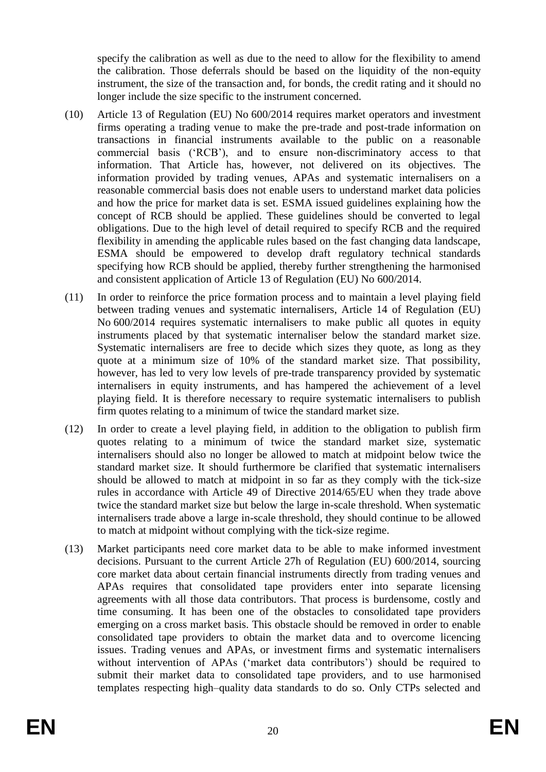specify the calibration as well as due to the need to allow for the flexibility to amend the calibration. Those deferrals should be based on the liquidity of the non-equity instrument, the size of the transaction and, for bonds, the credit rating and it should no longer include the size specific to the instrument concerned.

- (10) Article 13 of Regulation (EU) No 600/2014 requires market operators and investment firms operating a trading venue to make the pre-trade and post-trade information on transactions in financial instruments available to the public on a reasonable commercial basis ('RCB'), and to ensure non-discriminatory access to that information. That Article has, however, not delivered on its objectives. The information provided by trading venues, APAs and systematic internalisers on a reasonable commercial basis does not enable users to understand market data policies and how the price for market data is set. ESMA issued guidelines explaining how the concept of RCB should be applied. These guidelines should be converted to legal obligations. Due to the high level of detail required to specify RCB and the required flexibility in amending the applicable rules based on the fast changing data landscape, ESMA should be empowered to develop draft regulatory technical standards specifying how RCB should be applied, thereby further strengthening the harmonised and consistent application of Article 13 of Regulation (EU) No 600/2014.
- (11) In order to reinforce the price formation process and to maintain a level playing field between trading venues and systematic internalisers, Article 14 of Regulation (EU) No 600/2014 requires systematic internalisers to make public all quotes in equity instruments placed by that systematic internaliser below the standard market size. Systematic internalisers are free to decide which sizes they quote, as long as they quote at a minimum size of 10% of the standard market size. That possibility, however, has led to very low levels of pre-trade transparency provided by systematic internalisers in equity instruments, and has hampered the achievement of a level playing field. It is therefore necessary to require systematic internalisers to publish firm quotes relating to a minimum of twice the standard market size.
- (12) In order to create a level playing field, in addition to the obligation to publish firm quotes relating to a minimum of twice the standard market size, systematic internalisers should also no longer be allowed to match at midpoint below twice the standard market size. It should furthermore be clarified that systematic internalisers should be allowed to match at midpoint in so far as they comply with the tick-size rules in accordance with Article 49 of Directive 2014/65/EU when they trade above twice the standard market size but below the large in-scale threshold. When systematic internalisers trade above a large in-scale threshold, they should continue to be allowed to match at midpoint without complying with the tick-size regime.
- (13) Market participants need core market data to be able to make informed investment decisions. Pursuant to the current Article 27h of Regulation (EU) 600/2014, sourcing core market data about certain financial instruments directly from trading venues and APAs requires that consolidated tape providers enter into separate licensing agreements with all those data contributors. That process is burdensome, costly and time consuming. It has been one of the obstacles to consolidated tape providers emerging on a cross market basis. This obstacle should be removed in order to enable consolidated tape providers to obtain the market data and to overcome licencing issues. Trading venues and APAs, or investment firms and systematic internalisers without intervention of APAs ('market data contributors') should be required to submit their market data to consolidated tape providers, and to use harmonised templates respecting high–quality data standards to do so. Only CTPs selected and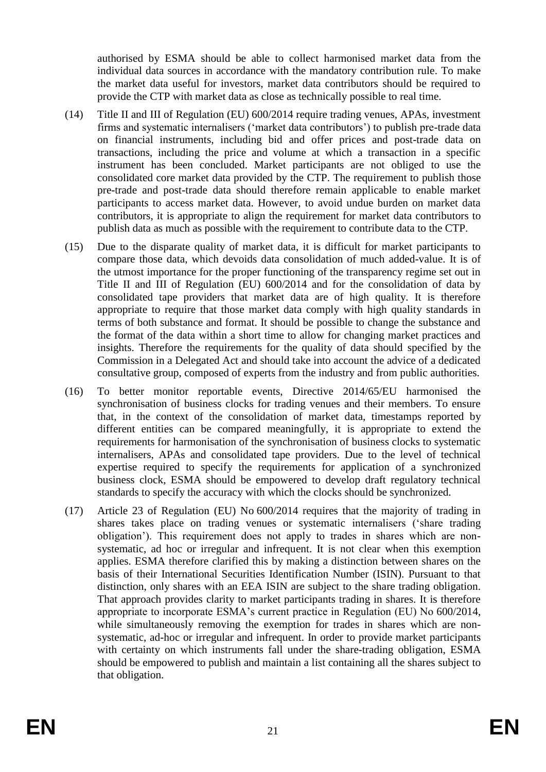authorised by ESMA should be able to collect harmonised market data from the individual data sources in accordance with the mandatory contribution rule. To make the market data useful for investors, market data contributors should be required to provide the CTP with market data as close as technically possible to real time.

- (14) Title II and III of Regulation (EU) 600/2014 require trading venues, APAs, investment firms and systematic internalisers ('market data contributors') to publish pre-trade data on financial instruments, including bid and offer prices and post-trade data on transactions, including the price and volume at which a transaction in a specific instrument has been concluded. Market participants are not obliged to use the consolidated core market data provided by the CTP. The requirement to publish those pre-trade and post-trade data should therefore remain applicable to enable market participants to access market data. However, to avoid undue burden on market data contributors, it is appropriate to align the requirement for market data contributors to publish data as much as possible with the requirement to contribute data to the CTP.
- (15) Due to the disparate quality of market data, it is difficult for market participants to compare those data, which devoids data consolidation of much added-value. It is of the utmost importance for the proper functioning of the transparency regime set out in Title II and III of Regulation (EU) 600/2014 and for the consolidation of data by consolidated tape providers that market data are of high quality. It is therefore appropriate to require that those market data comply with high quality standards in terms of both substance and format. It should be possible to change the substance and the format of the data within a short time to allow for changing market practices and insights. Therefore the requirements for the quality of data should specified by the Commission in a Delegated Act and should take into account the advice of a dedicated consultative group, composed of experts from the industry and from public authorities.
- (16) To better monitor reportable events, Directive 2014/65/EU harmonised the synchronisation of business clocks for trading venues and their members. To ensure that, in the context of the consolidation of market data, timestamps reported by different entities can be compared meaningfully, it is appropriate to extend the requirements for harmonisation of the synchronisation of business clocks to systematic internalisers, APAs and consolidated tape providers. Due to the level of technical expertise required to specify the requirements for application of a synchronized business clock, ESMA should be empowered to develop draft regulatory technical standards to specify the accuracy with which the clocks should be synchronized.
- (17) Article 23 of Regulation (EU) No 600/2014 requires that the majority of trading in shares takes place on trading venues or systematic internalisers ('share trading obligation'). This requirement does not apply to trades in shares which are nonsystematic, ad hoc or irregular and infrequent. It is not clear when this exemption applies. ESMA therefore clarified this by making a distinction between shares on the basis of their International Securities Identification Number (ISIN). Pursuant to that distinction, only shares with an EEA ISIN are subject to the share trading obligation. That approach provides clarity to market participants trading in shares. It is therefore appropriate to incorporate ESMA's current practice in Regulation (EU) No 600/2014, while simultaneously removing the exemption for trades in shares which are nonsystematic, ad-hoc or irregular and infrequent. In order to provide market participants with certainty on which instruments fall under the share-trading obligation, ESMA should be empowered to publish and maintain a list containing all the shares subject to that obligation.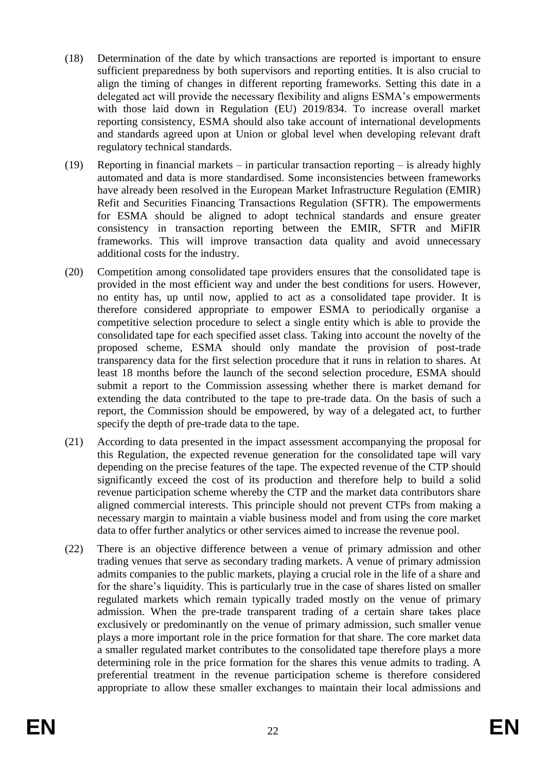- (18) Determination of the date by which transactions are reported is important to ensure sufficient preparedness by both supervisors and reporting entities. It is also crucial to align the timing of changes in different reporting frameworks. Setting this date in a delegated act will provide the necessary flexibility and aligns ESMA's empowerments with those laid down in Regulation (EU) 2019/834. To increase overall market reporting consistency, ESMA should also take account of international developments and standards agreed upon at Union or global level when developing relevant draft regulatory technical standards.
- (19) Reporting in financial markets in particular transaction reporting is already highly automated and data is more standardised. Some inconsistencies between frameworks have already been resolved in the European Market Infrastructure Regulation (EMIR) Refit and Securities Financing Transactions Regulation (SFTR). The empowerments for ESMA should be aligned to adopt technical standards and ensure greater consistency in transaction reporting between the EMIR, SFTR and MiFIR frameworks. This will improve transaction data quality and avoid unnecessary additional costs for the industry.
- (20) Competition among consolidated tape providers ensures that the consolidated tape is provided in the most efficient way and under the best conditions for users. However, no entity has, up until now, applied to act as a consolidated tape provider. It is therefore considered appropriate to empower ESMA to periodically organise a competitive selection procedure to select a single entity which is able to provide the consolidated tape for each specified asset class. Taking into account the novelty of the proposed scheme, ESMA should only mandate the provision of post-trade transparency data for the first selection procedure that it runs in relation to shares. At least 18 months before the launch of the second selection procedure, ESMA should submit a report to the Commission assessing whether there is market demand for extending the data contributed to the tape to pre-trade data. On the basis of such a report, the Commission should be empowered, by way of a delegated act, to further specify the depth of pre-trade data to the tape.
- (21) According to data presented in the impact assessment accompanying the proposal for this Regulation, the expected revenue generation for the consolidated tape will vary depending on the precise features of the tape. The expected revenue of the CTP should significantly exceed the cost of its production and therefore help to build a solid revenue participation scheme whereby the CTP and the market data contributors share aligned commercial interests. This principle should not prevent CTPs from making a necessary margin to maintain a viable business model and from using the core market data to offer further analytics or other services aimed to increase the revenue pool.
- (22) There is an objective difference between a venue of primary admission and other trading venues that serve as secondary trading markets. A venue of primary admission admits companies to the public markets, playing a crucial role in the life of a share and for the share's liquidity. This is particularly true in the case of shares listed on smaller regulated markets which remain typically traded mostly on the venue of primary admission. When the pre-trade transparent trading of a certain share takes place exclusively or predominantly on the venue of primary admission, such smaller venue plays a more important role in the price formation for that share. The core market data a smaller regulated market contributes to the consolidated tape therefore plays a more determining role in the price formation for the shares this venue admits to trading. A preferential treatment in the revenue participation scheme is therefore considered appropriate to allow these smaller exchanges to maintain their local admissions and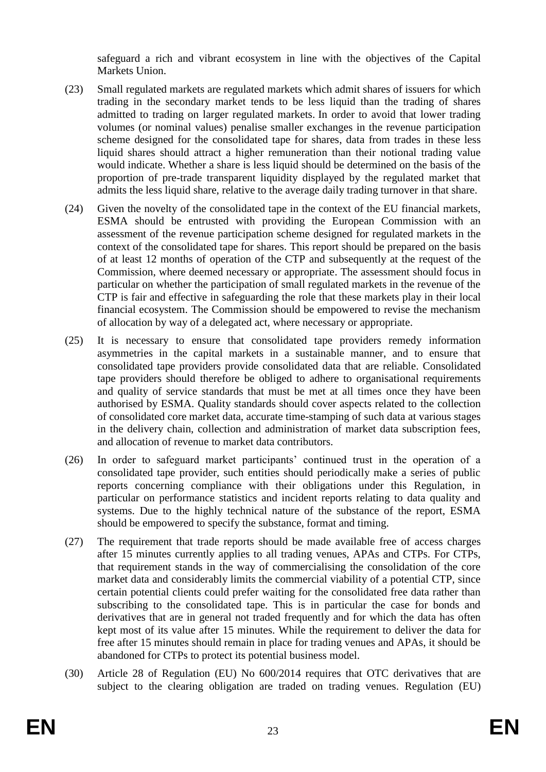safeguard a rich and vibrant ecosystem in line with the objectives of the Capital Markets Union.

- (23) Small regulated markets are regulated markets which admit shares of issuers for which trading in the secondary market tends to be less liquid than the trading of shares admitted to trading on larger regulated markets. In order to avoid that lower trading volumes (or nominal values) penalise smaller exchanges in the revenue participation scheme designed for the consolidated tape for shares, data from trades in these less liquid shares should attract a higher remuneration than their notional trading value would indicate. Whether a share is less liquid should be determined on the basis of the proportion of pre-trade transparent liquidity displayed by the regulated market that admits the less liquid share, relative to the average daily trading turnover in that share.
- (24) Given the novelty of the consolidated tape in the context of the EU financial markets, ESMA should be entrusted with providing the European Commission with an assessment of the revenue participation scheme designed for regulated markets in the context of the consolidated tape for shares. This report should be prepared on the basis of at least 12 months of operation of the CTP and subsequently at the request of the Commission, where deemed necessary or appropriate. The assessment should focus in particular on whether the participation of small regulated markets in the revenue of the CTP is fair and effective in safeguarding the role that these markets play in their local financial ecosystem. The Commission should be empowered to revise the mechanism of allocation by way of a delegated act, where necessary or appropriate.
- (25) It is necessary to ensure that consolidated tape providers remedy information asymmetries in the capital markets in a sustainable manner, and to ensure that consolidated tape providers provide consolidated data that are reliable. Consolidated tape providers should therefore be obliged to adhere to organisational requirements and quality of service standards that must be met at all times once they have been authorised by ESMA. Quality standards should cover aspects related to the collection of consolidated core market data, accurate time-stamping of such data at various stages in the delivery chain, collection and administration of market data subscription fees, and allocation of revenue to market data contributors.
- (26) In order to safeguard market participants' continued trust in the operation of a consolidated tape provider, such entities should periodically make a series of public reports concerning compliance with their obligations under this Regulation, in particular on performance statistics and incident reports relating to data quality and systems. Due to the highly technical nature of the substance of the report, ESMA should be empowered to specify the substance, format and timing.
- (27) The requirement that trade reports should be made available free of access charges after 15 minutes currently applies to all trading venues, APAs and CTPs. For CTPs, that requirement stands in the way of commercialising the consolidation of the core market data and considerably limits the commercial viability of a potential CTP, since certain potential clients could prefer waiting for the consolidated free data rather than subscribing to the consolidated tape. This is in particular the case for bonds and derivatives that are in general not traded frequently and for which the data has often kept most of its value after 15 minutes. While the requirement to deliver the data for free after 15 minutes should remain in place for trading venues and APAs, it should be abandoned for CTPs to protect its potential business model.
- (30) Article 28 of Regulation (EU) No 600/2014 requires that OTC derivatives that are subject to the clearing obligation are traded on trading venues. Regulation (EU)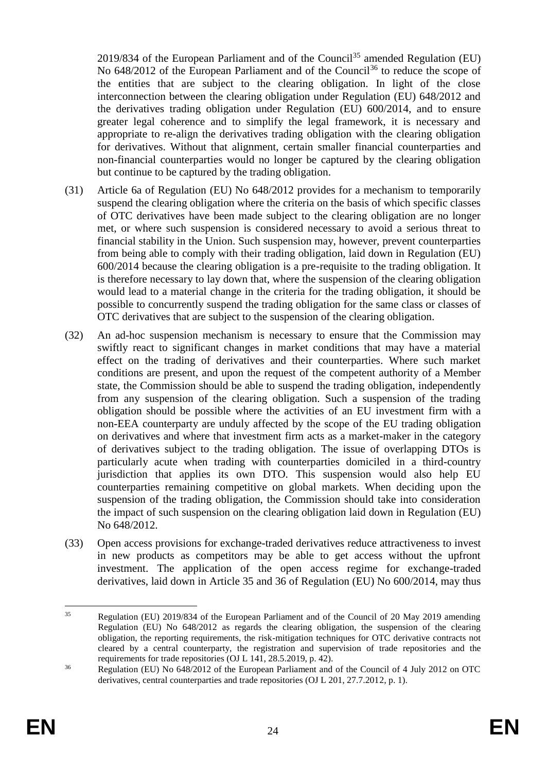2019/834 of the European Parliament and of the Council<sup>35</sup> amended Regulation (EU) No 648/2012 of the European Parliament and of the Council<sup>36</sup> to reduce the scope of the entities that are subject to the clearing obligation. In light of the close interconnection between the clearing obligation under Regulation (EU) 648/2012 and the derivatives trading obligation under Regulation (EU) 600/2014, and to ensure greater legal coherence and to simplify the legal framework, it is necessary and appropriate to re-align the derivatives trading obligation with the clearing obligation for derivatives. Without that alignment, certain smaller financial counterparties and non-financial counterparties would no longer be captured by the clearing obligation but continue to be captured by the trading obligation.

- (31) Article 6a of Regulation (EU) No 648/2012 provides for a mechanism to temporarily suspend the clearing obligation where the criteria on the basis of which specific classes of OTC derivatives have been made subject to the clearing obligation are no longer met, or where such suspension is considered necessary to avoid a serious threat to financial stability in the Union. Such suspension may, however, prevent counterparties from being able to comply with their trading obligation, laid down in Regulation (EU) 600/2014 because the clearing obligation is a pre-requisite to the trading obligation. It is therefore necessary to lay down that, where the suspension of the clearing obligation would lead to a material change in the criteria for the trading obligation, it should be possible to concurrently suspend the trading obligation for the same class or classes of OTC derivatives that are subject to the suspension of the clearing obligation.
- (32) An ad-hoc suspension mechanism is necessary to ensure that the Commission may swiftly react to significant changes in market conditions that may have a material effect on the trading of derivatives and their counterparties. Where such market conditions are present, and upon the request of the competent authority of a Member state, the Commission should be able to suspend the trading obligation, independently from any suspension of the clearing obligation. Such a suspension of the trading obligation should be possible where the activities of an EU investment firm with a non-EEA counterparty are unduly affected by the scope of the EU trading obligation on derivatives and where that investment firm acts as a market-maker in the category of derivatives subject to the trading obligation. The issue of overlapping DTOs is particularly acute when trading with counterparties domiciled in a third-country jurisdiction that applies its own DTO. This suspension would also help EU counterparties remaining competitive on global markets. When deciding upon the suspension of the trading obligation, the Commission should take into consideration the impact of such suspension on the clearing obligation laid down in Regulation (EU) No 648/2012.
- (33) Open access provisions for exchange-traded derivatives reduce attractiveness to invest in new products as competitors may be able to get access without the upfront investment. The application of the open access regime for exchange-traded derivatives, laid down in Article 35 and 36 of Regulation (EU) No 600/2014, may thus

<sup>&</sup>lt;u>.</u> <sup>35</sup> Regulation (EU) 2019/834 of the European Parliament and of the Council of 20 May 2019 amending Regulation (EU) No 648/2012 as regards the clearing obligation, the suspension of the clearing obligation, the reporting requirements, the risk-mitigation techniques for OTC derivative contracts not cleared by a central counterparty, the registration and supervision of trade repositories and the requirements for trade repositories (OJ L 141, 28.5.2019, p. 42).

<sup>36</sup> Regulation (EU) No 648/2012 of the European Parliament and of the Council of 4 July 2012 on OTC derivatives, central counterparties and trade repositories (OJ L 201, 27.7.2012, p. 1).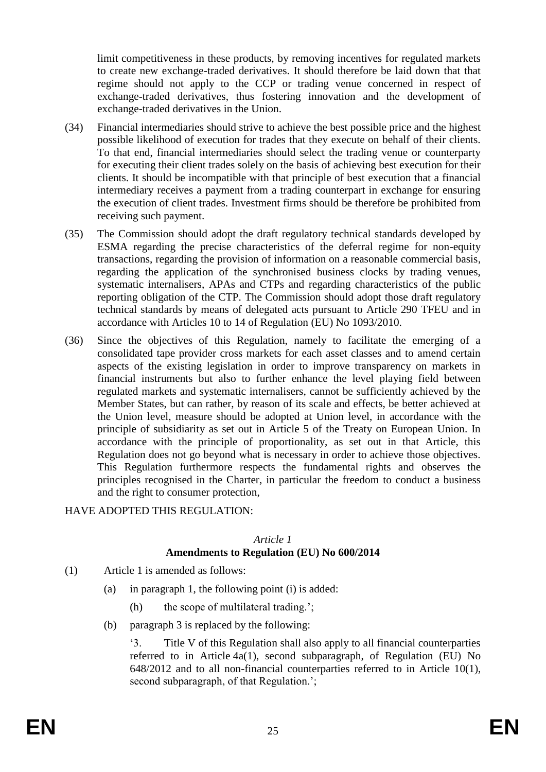limit competitiveness in these products, by removing incentives for regulated markets to create new exchange-traded derivatives. It should therefore be laid down that that regime should not apply to the CCP or trading venue concerned in respect of exchange-traded derivatives, thus fostering innovation and the development of exchange-traded derivatives in the Union.

- (34) Financial intermediaries should strive to achieve the best possible price and the highest possible likelihood of execution for trades that they execute on behalf of their clients. To that end, financial intermediaries should select the trading venue or counterparty for executing their client trades solely on the basis of achieving best execution for their clients. It should be incompatible with that principle of best execution that a financial intermediary receives a payment from a trading counterpart in exchange for ensuring the execution of client trades. Investment firms should be therefore be prohibited from receiving such payment.
- (35) The Commission should adopt the draft regulatory technical standards developed by ESMA regarding the precise characteristics of the deferral regime for non-equity transactions, regarding the provision of information on a reasonable commercial basis, regarding the application of the synchronised business clocks by trading venues, systematic internalisers, APAs and CTPs and regarding characteristics of the public reporting obligation of the CTP. The Commission should adopt those draft regulatory technical standards by means of delegated acts pursuant to Article 290 TFEU and in accordance with Articles 10 to 14 of Regulation (EU) No 1093/2010.
- (36) Since the objectives of this Regulation, namely to facilitate the emerging of a consolidated tape provider cross markets for each asset classes and to amend certain aspects of the existing legislation in order to improve transparency on markets in financial instruments but also to further enhance the level playing field between regulated markets and systematic internalisers, cannot be sufficiently achieved by the Member States, but can rather, by reason of its scale and effects, be better achieved at the Union level, measure should be adopted at Union level, in accordance with the principle of subsidiarity as set out in Article 5 of the Treaty on European Union. In accordance with the principle of proportionality, as set out in that Article, this Regulation does not go beyond what is necessary in order to achieve those objectives. This Regulation furthermore respects the fundamental rights and observes the principles recognised in the Charter, in particular the freedom to conduct a business and the right to consumer protection,

#### HAVE ADOPTED THIS REGULATION:

#### *Article 1*

# **Amendments to Regulation (EU) No 600/2014**

- (1) Article 1 is amended as follows:
	- (a) in paragraph 1, the following point (i) is added:
		- (h) the scope of multilateral trading.';
	- (b) paragraph 3 is replaced by the following:

'3. Title V of this Regulation shall also apply to all financial counterparties referred to in Article 4a(1), second subparagraph, of Regulation (EU) No 648/2012 and to all non-financial counterparties referred to in Article 10(1), second subparagraph, of that Regulation.';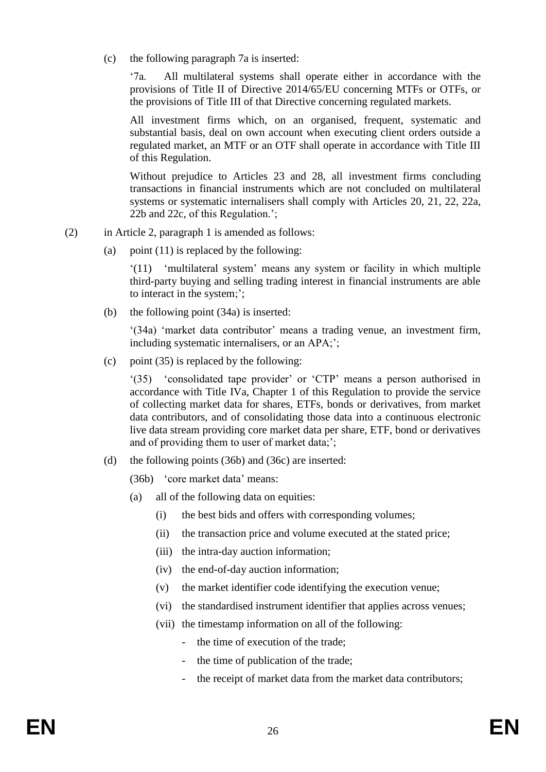(c) the following paragraph 7a is inserted:

'7a. All multilateral systems shall operate either in accordance with the provisions of Title II of Directive 2014/65/EU concerning MTFs or OTFs, or the provisions of Title III of that Directive concerning regulated markets.

All investment firms which, on an organised, frequent, systematic and substantial basis, deal on own account when executing client orders outside a regulated market, an MTF or an OTF shall operate in accordance with Title III of this Regulation.

Without prejudice to Articles 23 and 28, all investment firms concluding transactions in financial instruments which are not concluded on multilateral systems or systematic internalisers shall comply with Articles 20, 21, 22, 22a, 22b and 22c, of this Regulation.';

- (2) in Article 2, paragraph 1 is amended as follows:
	- (a) point  $(11)$  is replaced by the following:

'(11) 'multilateral system' means any system or facility in which multiple third-party buying and selling trading interest in financial instruments are able to interact in the system;';

(b) the following point (34a) is inserted:

'(34a) 'market data contributor' means a trading venue, an investment firm, including systematic internalisers, or an APA;';

(c) point  $(35)$  is replaced by the following:

'(35) 'consolidated tape provider' or 'CTP' means a person authorised in accordance with Title IVa, Chapter 1 of this Regulation to provide the service of collecting market data for shares, ETFs, bonds or derivatives, from market data contributors, and of consolidating those data into a continuous electronic live data stream providing core market data per share, ETF, bond or derivatives and of providing them to user of market data;';

(d) the following points (36b) and (36c) are inserted:

(36b) 'core market data' means:

- (a) all of the following data on equities:
	- (i) the best bids and offers with corresponding volumes;
	- (ii) the transaction price and volume executed at the stated price;
	- (iii) the intra-day auction information;
	- (iv) the end-of-day auction information;
	- (v) the market identifier code identifying the execution venue;
	- (vi) the standardised instrument identifier that applies across venues;
	- (vii) the timestamp information on all of the following:
		- the time of execution of the trade;
		- the time of publication of the trade;
		- the receipt of market data from the market data contributors;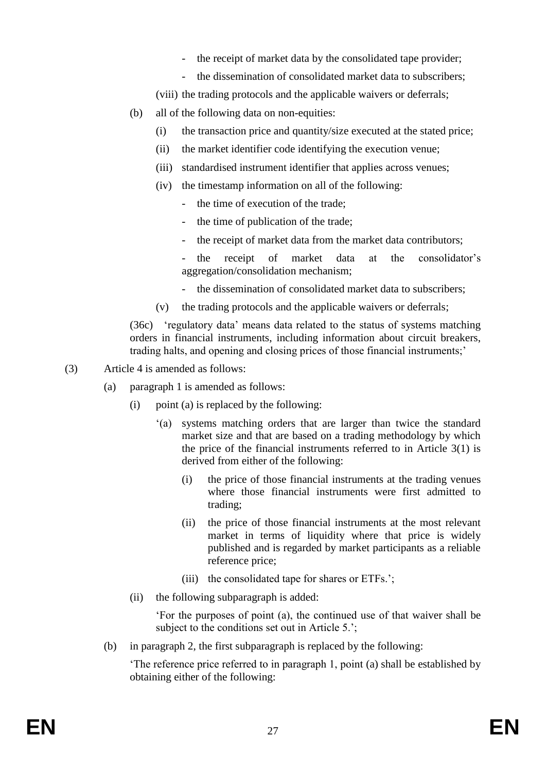- the receipt of market data by the consolidated tape provider;
- the dissemination of consolidated market data to subscribers:
- (viii) the trading protocols and the applicable waivers or deferrals;
- (b) all of the following data on non-equities:
	- (i) the transaction price and quantity/size executed at the stated price;
	- (ii) the market identifier code identifying the execution venue;
	- (iii) standardised instrument identifier that applies across venues;
	- (iv) the timestamp information on all of the following:
		- the time of execution of the trade:
		- the time of publication of the trade;
		- the receipt of market data from the market data contributors:

- the receipt of market data at the consolidator's aggregation/consolidation mechanism;

- the dissemination of consolidated market data to subscribers:
- (v) the trading protocols and the applicable waivers or deferrals;

(36c) 'regulatory data' means data related to the status of systems matching orders in financial instruments, including information about circuit breakers, trading halts, and opening and closing prices of those financial instruments;'

- (3) Article 4 is amended as follows:
	- (a) paragraph 1 is amended as follows:
		- (i) point (a) is replaced by the following:
			- '(a) systems matching orders that are larger than twice the standard market size and that are based on a trading methodology by which the price of the financial instruments referred to in Article 3(1) is derived from either of the following:
				- (i) the price of those financial instruments at the trading venues where those financial instruments were first admitted to trading;
				- (ii) the price of those financial instruments at the most relevant market in terms of liquidity where that price is widely published and is regarded by market participants as a reliable reference price;
				- (iii) the consolidated tape for shares or ETFs.';
		- (ii) the following subparagraph is added:

'For the purposes of point (a), the continued use of that waiver shall be subject to the conditions set out in Article 5.';

(b) in paragraph 2, the first subparagraph is replaced by the following:

'The reference price referred to in paragraph 1, point (a) shall be established by obtaining either of the following: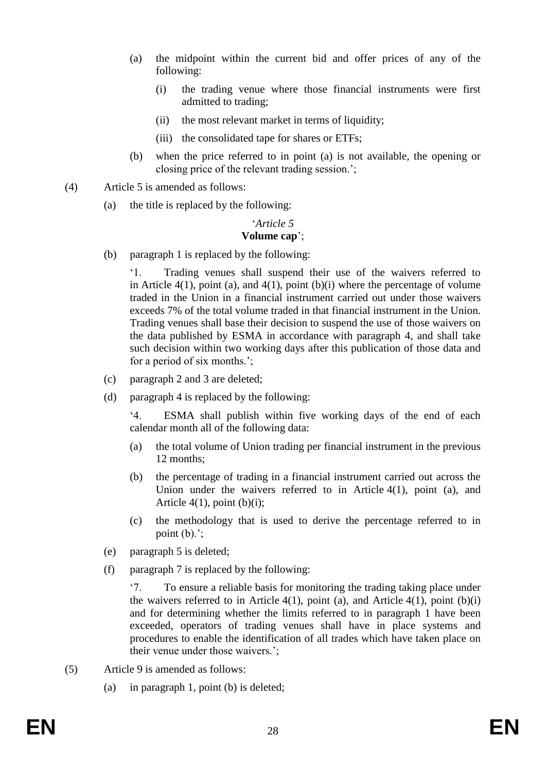- (a) the midpoint within the current bid and offer prices of any of the following:
	- (i) the trading venue where those financial instruments were first admitted to trading;
	- (ii) the most relevant market in terms of liquidity;
	- (iii) the consolidated tape for shares or ETFs;
- (b) when the price referred to in point (a) is not available, the opening or closing price of the relevant trading session.';
- (4) Article 5 is amended as follows:
	- (a) the title is replaced by the following:

# '*Article 5*

## **Volume cap**';

(b) paragraph 1 is replaced by the following:

'1. Trading venues shall suspend their use of the waivers referred to in Article  $4(1)$ , point (a), and  $4(1)$ , point (b)(i) where the percentage of volume traded in the Union in a financial instrument carried out under those waivers exceeds 7% of the total volume traded in that financial instrument in the Union. Trading venues shall base their decision to suspend the use of those waivers on the data published by ESMA in accordance with paragraph 4, and shall take such decision within two working days after this publication of those data and for a period of six months.';

- (c) paragraph 2 and 3 are deleted;
- (d) paragraph 4 is replaced by the following:

'4. ESMA shall publish within five working days of the end of each calendar month all of the following data:

- (a) the total volume of Union trading per financial instrument in the previous 12 months;
- (b) the percentage of trading in a financial instrument carried out across the Union under the waivers referred to in Article 4(1), point (a), and Article  $4(1)$ , point  $(b)(i)$ ;
- (c) the methodology that is used to derive the percentage referred to in point  $(b)$ .';
- (e) paragraph 5 is deleted;
- (f) paragraph 7 is replaced by the following:

'7. To ensure a reliable basis for monitoring the trading taking place under the waivers referred to in Article  $4(1)$ , point (a), and Article  $4(1)$ , point (b)(i) and for determining whether the limits referred to in paragraph 1 have been exceeded, operators of trading venues shall have in place systems and procedures to enable the identification of all trades which have taken place on their venue under those waivers.';

- (5) Article 9 is amended as follows:
	- (a) in paragraph 1, point (b) is deleted;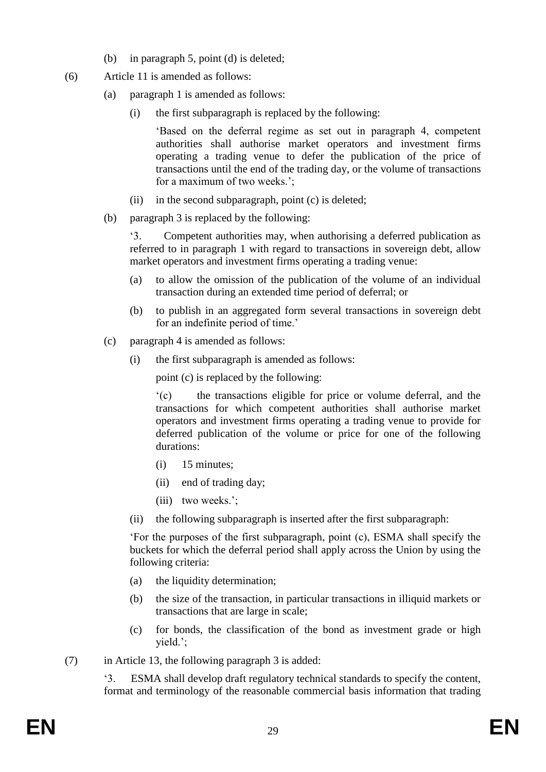- (b) in paragraph 5, point (d) is deleted;
- (6) Article 11 is amended as follows:
	- (a) paragraph 1 is amended as follows:
		- (i) the first subparagraph is replaced by the following:

'Based on the deferral regime as set out in paragraph 4, competent authorities shall authorise market operators and investment firms operating a trading venue to defer the publication of the price of transactions until the end of the trading day, or the volume of transactions for a maximum of two weeks.';

- (ii) in the second subparagraph, point (c) is deleted;
- (b) paragraph 3 is replaced by the following:

'3. Competent authorities may, when authorising a deferred publication as referred to in paragraph 1 with regard to transactions in sovereign debt, allow market operators and investment firms operating a trading venue:

- (a) to allow the omission of the publication of the volume of an individual transaction during an extended time period of deferral; or
- (b) to publish in an aggregated form several transactions in sovereign debt for an indefinite period of time.'
- (c) paragraph 4 is amended as follows:
	- (i) the first subparagraph is amended as follows:

point (c) is replaced by the following:

'(c) the transactions eligible for price or volume deferral, and the transactions for which competent authorities shall authorise market operators and investment firms operating a trading venue to provide for deferred publication of the volume or price for one of the following durations:

- (i) 15 minutes;
- (ii) end of trading day;
- (iii) two weeks.';
- (ii) the following subparagraph is inserted after the first subparagraph:

'For the purposes of the first subparagraph, point (c), ESMA shall specify the buckets for which the deferral period shall apply across the Union by using the following criteria:

- (a) the liquidity determination;
- (b) the size of the transaction, in particular transactions in illiquid markets or transactions that are large in scale;
- (c) for bonds, the classification of the bond as investment grade or high yield.';
- (7) in Article 13, the following paragraph 3 is added:

'3. ESMA shall develop draft regulatory technical standards to specify the content, format and terminology of the reasonable commercial basis information that trading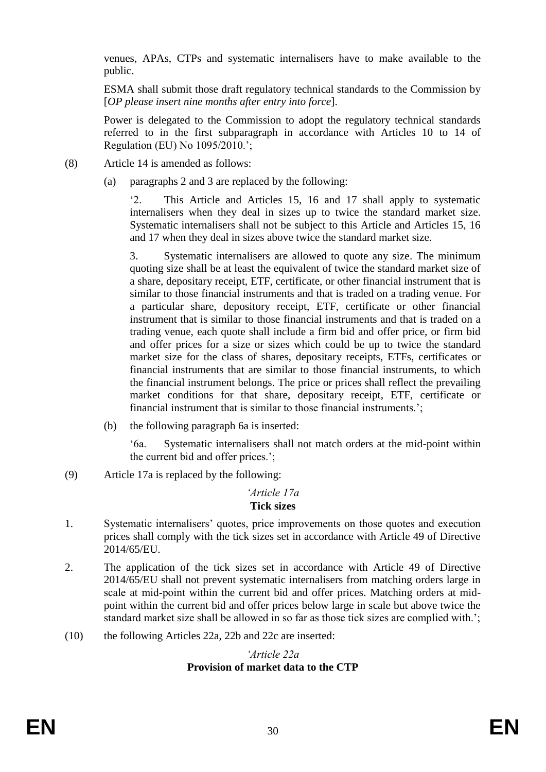venues, APAs, CTPs and systematic internalisers have to make available to the public.

ESMA shall submit those draft regulatory technical standards to the Commission by [*OP please insert nine months after entry into force*].

Power is delegated to the Commission to adopt the regulatory technical standards referred to in the first subparagraph in accordance with Articles 10 to 14 of Regulation (EU) No 1095/2010.';

- (8) Article 14 is amended as follows:
	- (a) paragraphs 2 and 3 are replaced by the following:

'2. This Article and Articles 15, 16 and 17 shall apply to systematic internalisers when they deal in sizes up to twice the standard market size. Systematic internalisers shall not be subject to this Article and Articles 15, 16 and 17 when they deal in sizes above twice the standard market size.

3. Systematic internalisers are allowed to quote any size. The minimum quoting size shall be at least the equivalent of twice the standard market size of a share, depositary receipt, ETF, certificate, or other financial instrument that is similar to those financial instruments and that is traded on a trading venue. For a particular share, depository receipt, ETF, certificate or other financial instrument that is similar to those financial instruments and that is traded on a trading venue, each quote shall include a firm bid and offer price, or firm bid and offer prices for a size or sizes which could be up to twice the standard market size for the class of shares, depositary receipts, ETFs, certificates or financial instruments that are similar to those financial instruments, to which the financial instrument belongs. The price or prices shall reflect the prevailing market conditions for that share, depositary receipt, ETF, certificate or financial instrument that is similar to those financial instruments.';

(b) the following paragraph 6a is inserted:

'6a. Systematic internalisers shall not match orders at the mid-point within the current bid and offer prices.';

(9) Article 17a is replaced by the following:

#### *'Article 17a* **Tick sizes**

- 1. Systematic internalisers' quotes, price improvements on those quotes and execution prices shall comply with the tick sizes set in accordance with Article 49 of Directive 2014/65/EU.
- 2. The application of the tick sizes set in accordance with Article 49 of Directive 2014/65/EU shall not prevent systematic internalisers from matching orders large in scale at mid‐point within the current bid and offer prices. Matching orders at midpoint within the current bid and offer prices below large in scale but above twice the standard market size shall be allowed in so far as those tick sizes are complied with.';
- (10) the following Articles 22a, 22b and 22c are inserted:

#### *'Article 22a* **Provision of market data to the CTP**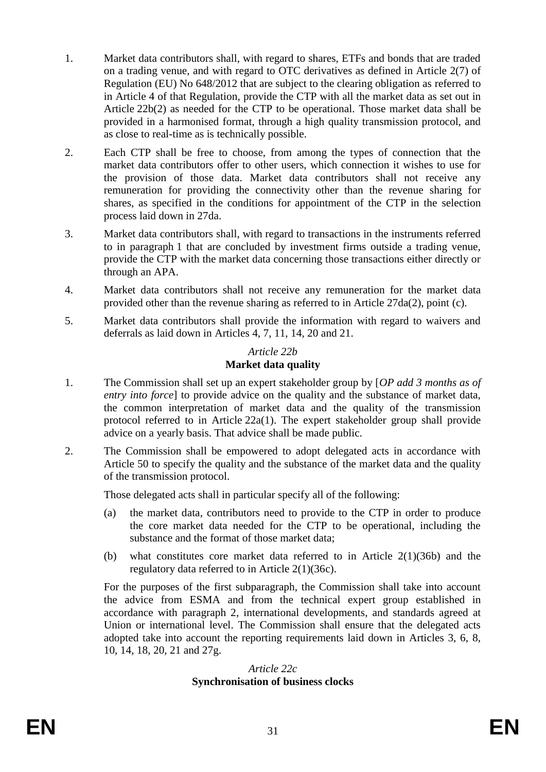- 1. Market data contributors shall, with regard to shares, ETFs and bonds that are traded on a trading venue, and with regard to OTC derivatives as defined in Article 2(7) of Regulation (EU) No 648/2012 that are subject to the clearing obligation as referred to in Article 4 of that Regulation, provide the CTP with all the market data as set out in Article 22b(2) as needed for the CTP to be operational. Those market data shall be provided in a harmonised format, through a high quality transmission protocol, and as close to real-time as is technically possible.
- 2. Each CTP shall be free to choose, from among the types of connection that the market data contributors offer to other users, which connection it wishes to use for the provision of those data. Market data contributors shall not receive any remuneration for providing the connectivity other than the revenue sharing for shares, as specified in the conditions for appointment of the CTP in the selection process laid down in 27da.
- 3. Market data contributors shall, with regard to transactions in the instruments referred to in paragraph 1 that are concluded by investment firms outside a trading venue, provide the CTP with the market data concerning those transactions either directly or through an APA.
- 4. Market data contributors shall not receive any remuneration for the market data provided other than the revenue sharing as referred to in Article 27da(2), point (c).
- 5. Market data contributors shall provide the information with regard to waivers and deferrals as laid down in Articles 4, 7, 11, 14, 20 and 21.

#### *Article 22b* **Market data quality**

- 1. The Commission shall set up an expert stakeholder group by [*OP add 3 months as of entry into force*] to provide advice on the quality and the substance of market data, the common interpretation of market data and the quality of the transmission protocol referred to in Article 22a(1). The expert stakeholder group shall provide advice on a yearly basis. That advice shall be made public.
- 2. The Commission shall be empowered to adopt delegated acts in accordance with Article 50 to specify the quality and the substance of the market data and the quality of the transmission protocol.

Those delegated acts shall in particular specify all of the following:

- (a) the market data, contributors need to provide to the CTP in order to produce the core market data needed for the CTP to be operational, including the substance and the format of those market data;
- (b) what constitutes core market data referred to in Article 2(1)(36b) and the regulatory data referred to in Article 2(1)(36c).

For the purposes of the first subparagraph, the Commission shall take into account the advice from ESMA and from the technical expert group established in accordance with paragraph 2, international developments, and standards agreed at Union or international level. The Commission shall ensure that the delegated acts adopted take into account the reporting requirements laid down in Articles 3, 6, 8, 10, 14, 18, 20, 21 and 27g.

#### *Article 22c* **Synchronisation of business clocks**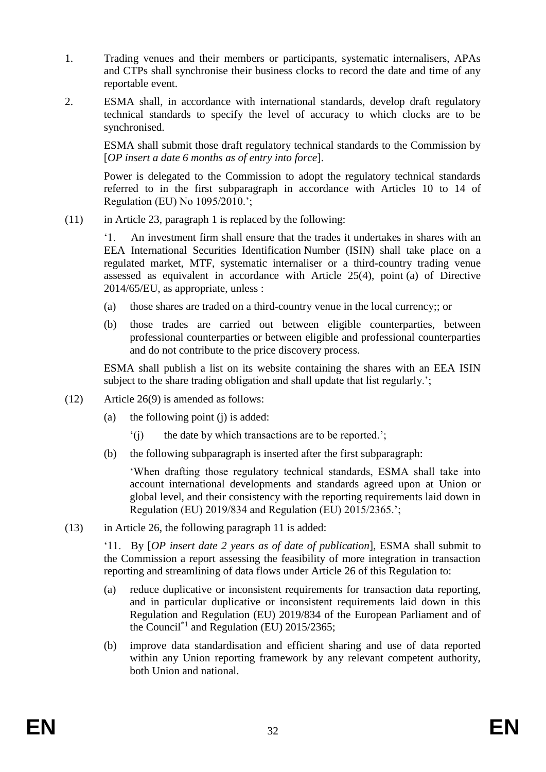- 1. Trading venues and their members or participants, systematic internalisers, APAs and CTPs shall synchronise their business clocks to record the date and time of any reportable event.
- 2. ESMA shall, in accordance with international standards, develop draft regulatory technical standards to specify the level of accuracy to which clocks are to be synchronised.

ESMA shall submit those draft regulatory technical standards to the Commission by [*OP insert a date 6 months as of entry into force*].

Power is delegated to the Commission to adopt the regulatory technical standards referred to in the first subparagraph in accordance with Articles 10 to 14 of Regulation (EU) No 1095/2010.';

(11) in Article 23, paragraph 1 is replaced by the following:

'1. An investment firm shall ensure that the trades it undertakes in shares with an EEA International Securities Identification Number (ISIN) shall take place on a regulated market, MTF, systematic internaliser or a third-country trading venue assessed as equivalent in accordance with Article 25(4), point (a) of Directive 2014/65/EU, as appropriate, unless :

- (a) those shares are traded on a third-country venue in the local currency;; or
- (b) those trades are carried out between eligible counterparties, between professional counterparties or between eligible and professional counterparties and do not contribute to the price discovery process.

ESMA shall publish a list on its website containing the shares with an EEA ISIN subject to the share trading obligation and shall update that list regularly.';

- (12) Article 26(9) is amended as follows:
	- (a) the following point (j) is added:
		- '(j) the date by which transactions are to be reported.';
	- (b) the following subparagraph is inserted after the first subparagraph:

'When drafting those regulatory technical standards, ESMA shall take into account international developments and standards agreed upon at Union or global level, and their consistency with the reporting requirements laid down in Regulation (EU) 2019/834 and Regulation (EU) 2015/2365.';

(13) in Article 26, the following paragraph 11 is added:

'11. By [*OP insert date 2 years as of date of publication*], ESMA shall submit to the Commission a report assessing the feasibility of more integration in transaction reporting and streamlining of data flows under Article 26 of this Regulation to:

- (a) reduce duplicative or inconsistent requirements for transaction data reporting, and in particular duplicative or inconsistent requirements laid down in this Regulation and Regulation (EU) 2019/834 of the European Parliament and of the Council<sup>\*1</sup> and Regulation (EU)  $2015/2365$ ;
- (b) improve data standardisation and efficient sharing and use of data reported within any Union reporting framework by any relevant competent authority, both Union and national.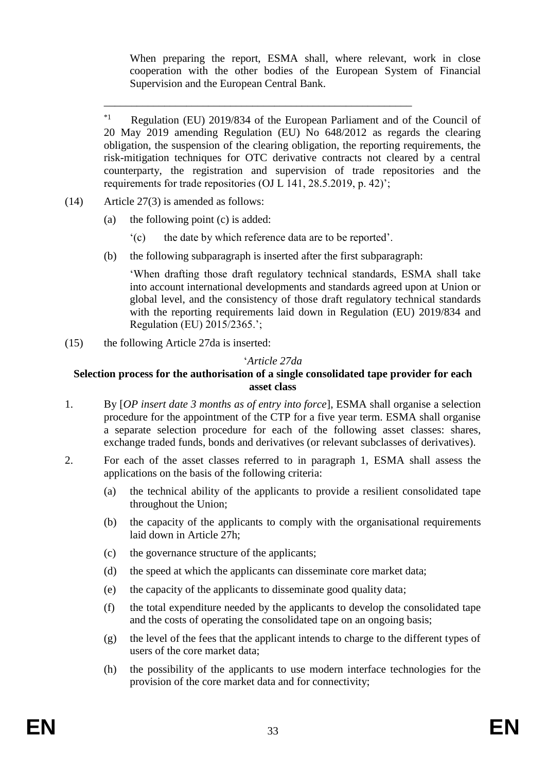When preparing the report, ESMA shall, where relevant, work in close cooperation with the other bodies of the European System of Financial Supervision and the European Central Bank.

- (14) Article 27(3) is amended as follows:
	- (a) the following point (c) is added:
		- '(c) the date by which reference data are to be reported'.

\_\_\_\_\_\_\_\_\_\_\_\_\_\_\_\_\_\_\_\_\_\_\_\_\_\_\_\_\_\_\_\_\_\_\_\_\_\_\_\_\_\_\_\_\_\_\_\_\_\_\_\_\_\_\_\_

(b) the following subparagraph is inserted after the first subparagraph:

'When drafting those draft regulatory technical standards, ESMA shall take into account international developments and standards agreed upon at Union or global level, and the consistency of those draft regulatory technical standards with the reporting requirements laid down in Regulation (EU) 2019/834 and Regulation (EU) 2015/2365.';

(15) the following Article 27da is inserted:

#### '*Article 27da*

#### **Selection process for the authorisation of a single consolidated tape provider for each asset class**

- 1. By [*OP insert date 3 months as of entry into force*], ESMA shall organise a selection procedure for the appointment of the CTP for a five year term. ESMA shall organise a separate selection procedure for each of the following asset classes: shares, exchange traded funds, bonds and derivatives (or relevant subclasses of derivatives).
- 2. For each of the asset classes referred to in paragraph 1, ESMA shall assess the applications on the basis of the following criteria:
	- (a) the technical ability of the applicants to provide a resilient consolidated tape throughout the Union;
	- (b) the capacity of the applicants to comply with the organisational requirements laid down in Article 27h;
	- (c) the governance structure of the applicants;
	- (d) the speed at which the applicants can disseminate core market data;
	- (e) the capacity of the applicants to disseminate good quality data;
	- (f) the total expenditure needed by the applicants to develop the consolidated tape and the costs of operating the consolidated tape on an ongoing basis;
	- (g) the level of the fees that the applicant intends to charge to the different types of users of the core market data;
	- (h) the possibility of the applicants to use modern interface technologies for the provision of the core market data and for connectivity;

<sup>&</sup>lt;sup>\*1</sup> Regulation (EU) 2019/834 of the European Parliament and of the Council of 20 May 2019 amending Regulation (EU) No 648/2012 as regards the clearing obligation, the suspension of the clearing obligation, the reporting requirements, the risk-mitigation techniques for OTC derivative contracts not cleared by a central counterparty, the registration and supervision of trade repositories and the requirements for trade repositories (OJ L 141, 28.5.2019, p. 42)';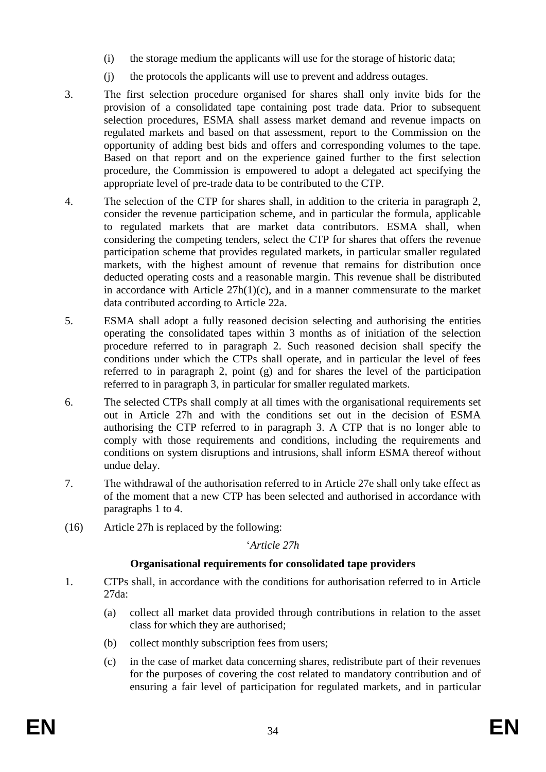- (i) the storage medium the applicants will use for the storage of historic data;
- (j) the protocols the applicants will use to prevent and address outages.
- 3. The first selection procedure organised for shares shall only invite bids for the provision of a consolidated tape containing post trade data. Prior to subsequent selection procedures, ESMA shall assess market demand and revenue impacts on regulated markets and based on that assessment, report to the Commission on the opportunity of adding best bids and offers and corresponding volumes to the tape. Based on that report and on the experience gained further to the first selection procedure, the Commission is empowered to adopt a delegated act specifying the appropriate level of pre-trade data to be contributed to the CTP.
- 4. The selection of the CTP for shares shall, in addition to the criteria in paragraph 2, consider the revenue participation scheme, and in particular the formula, applicable to regulated markets that are market data contributors. ESMA shall, when considering the competing tenders, select the CTP for shares that offers the revenue participation scheme that provides regulated markets, in particular smaller regulated markets, with the highest amount of revenue that remains for distribution once deducted operating costs and a reasonable margin. This revenue shall be distributed in accordance with Article 27h(1)(c), and in a manner commensurate to the market data contributed according to Article 22a.
- 5. ESMA shall adopt a fully reasoned decision selecting and authorising the entities operating the consolidated tapes within 3 months as of initiation of the selection procedure referred to in paragraph 2. Such reasoned decision shall specify the conditions under which the CTPs shall operate, and in particular the level of fees referred to in paragraph 2, point (g) and for shares the level of the participation referred to in paragraph 3, in particular for smaller regulated markets.
- 6. The selected CTPs shall comply at all times with the organisational requirements set out in Article 27h and with the conditions set out in the decision of ESMA authorising the CTP referred to in paragraph 3. A CTP that is no longer able to comply with those requirements and conditions, including the requirements and conditions on system disruptions and intrusions, shall inform ESMA thereof without undue delay.
- 7. The withdrawal of the authorisation referred to in Article 27e shall only take effect as of the moment that a new CTP has been selected and authorised in accordance with paragraphs 1 to 4.
- (16) Article 27h is replaced by the following:

#### '*Article 27h*

#### **Organisational requirements for consolidated tape providers**

- 1. CTPs shall, in accordance with the conditions for authorisation referred to in Article 27da:
	- (a) collect all market data provided through contributions in relation to the asset class for which they are authorised;
	- (b) collect monthly subscription fees from users;
	- (c) in the case of market data concerning shares, redistribute part of their revenues for the purposes of covering the cost related to mandatory contribution and of ensuring a fair level of participation for regulated markets, and in particular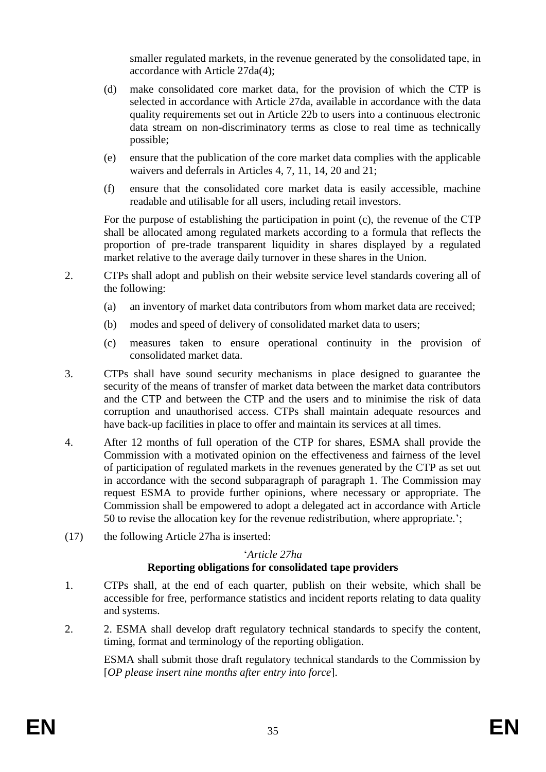smaller regulated markets, in the revenue generated by the consolidated tape, in accordance with Article 27da(4);

- (d) make consolidated core market data, for the provision of which the CTP is selected in accordance with Article 27da, available in accordance with the data quality requirements set out in Article 22b to users into a continuous electronic data stream on non-discriminatory terms as close to real time as technically possible;
- (e) ensure that the publication of the core market data complies with the applicable waivers and deferrals in Articles 4, 7, 11, 14, 20 and 21;
- (f) ensure that the consolidated core market data is easily accessible, machine readable and utilisable for all users, including retail investors.

For the purpose of establishing the participation in point (c), the revenue of the CTP shall be allocated among regulated markets according to a formula that reflects the proportion of pre-trade transparent liquidity in shares displayed by a regulated market relative to the average daily turnover in these shares in the Union.

- 2. CTPs shall adopt and publish on their website service level standards covering all of the following:
	- (a) an inventory of market data contributors from whom market data are received;
	- (b) modes and speed of delivery of consolidated market data to users;
	- (c) measures taken to ensure operational continuity in the provision of consolidated market data.
- 3. CTPs shall have sound security mechanisms in place designed to guarantee the security of the means of transfer of market data between the market data contributors and the CTP and between the CTP and the users and to minimise the risk of data corruption and unauthorised access. CTPs shall maintain adequate resources and have back-up facilities in place to offer and maintain its services at all times.
- 4. After 12 months of full operation of the CTP for shares, ESMA shall provide the Commission with a motivated opinion on the effectiveness and fairness of the level of participation of regulated markets in the revenues generated by the CTP as set out in accordance with the second subparagraph of paragraph 1. The Commission may request ESMA to provide further opinions, where necessary or appropriate. The Commission shall be empowered to adopt a delegated act in accordance with Article 50 to revise the allocation key for the revenue redistribution, where appropriate.';
- (17) the following Article 27ha is inserted:

#### '*Article 27ha*

#### **Reporting obligations for consolidated tape providers**

- 1. CTPs shall, at the end of each quarter, publish on their website, which shall be accessible for free, performance statistics and incident reports relating to data quality and systems.
- 2. 2. ESMA shall develop draft regulatory technical standards to specify the content, timing, format and terminology of the reporting obligation.

ESMA shall submit those draft regulatory technical standards to the Commission by [*OP please insert nine months after entry into force*].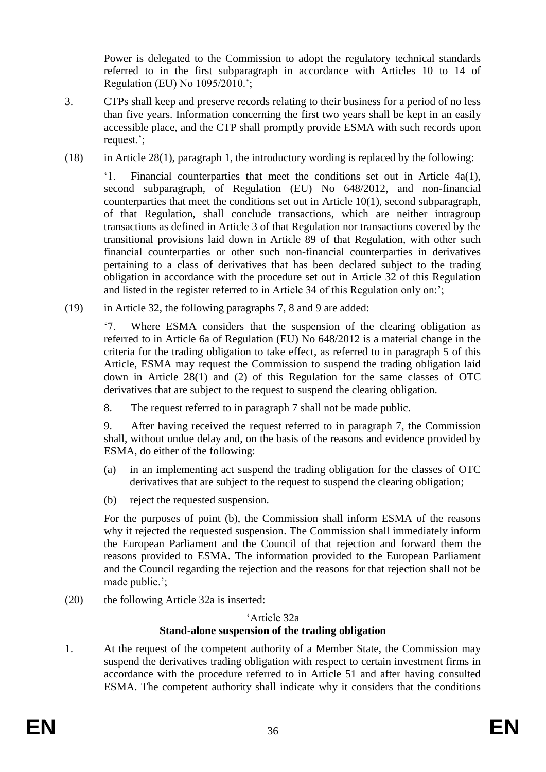Power is delegated to the Commission to adopt the regulatory technical standards referred to in the first subparagraph in accordance with Articles 10 to 14 of Regulation (EU) No 1095/2010.';

- 3. CTPs shall keep and preserve records relating to their business for a period of no less than five years. Information concerning the first two years shall be kept in an easily accessible place, and the CTP shall promptly provide ESMA with such records upon request.';
- $(18)$  in Article 28(1), paragraph 1, the introductory wording is replaced by the following:

'1. Financial counterparties that meet the conditions set out in Article 4a(1), second subparagraph, of Regulation (EU) No 648/2012, and non-financial counterparties that meet the conditions set out in Article 10(1), second subparagraph, of that Regulation, shall conclude transactions, which are neither intragroup transactions as defined in Article 3 of that Regulation nor transactions covered by the transitional provisions laid down in Article 89 of that Regulation, with other such financial counterparties or other such non-financial counterparties in derivatives pertaining to a class of derivatives that has been declared subject to the trading obligation in accordance with the procedure set out in Article 32 of this Regulation and listed in the register referred to in Article 34 of this Regulation only on:';

(19) in Article 32, the following paragraphs 7, 8 and 9 are added:

'7. Where ESMA considers that the suspension of the clearing obligation as referred to in Article 6a of Regulation (EU) No 648/2012 is a material change in the criteria for the trading obligation to take effect, as referred to in paragraph 5 of this Article, ESMA may request the Commission to suspend the trading obligation laid down in Article 28(1) and (2) of this Regulation for the same classes of OTC derivatives that are subject to the request to suspend the clearing obligation.

8. The request referred to in paragraph 7 shall not be made public.

9. After having received the request referred to in paragraph 7, the Commission shall, without undue delay and, on the basis of the reasons and evidence provided by ESMA, do either of the following:

- (a) in an implementing act suspend the trading obligation for the classes of OTC derivatives that are subject to the request to suspend the clearing obligation;
- (b) reject the requested suspension.

For the purposes of point (b), the Commission shall inform ESMA of the reasons why it rejected the requested suspension. The Commission shall immediately inform the European Parliament and the Council of that rejection and forward them the reasons provided to ESMA. The information provided to the European Parliament and the Council regarding the rejection and the reasons for that rejection shall not be made public.';

(20) the following Article 32a is inserted:

#### 'Article 32a

# **Stand-alone suspension of the trading obligation**

1. At the request of the competent authority of a Member State, the Commission may suspend the derivatives trading obligation with respect to certain investment firms in accordance with the procedure referred to in Article 51 and after having consulted ESMA. The competent authority shall indicate why it considers that the conditions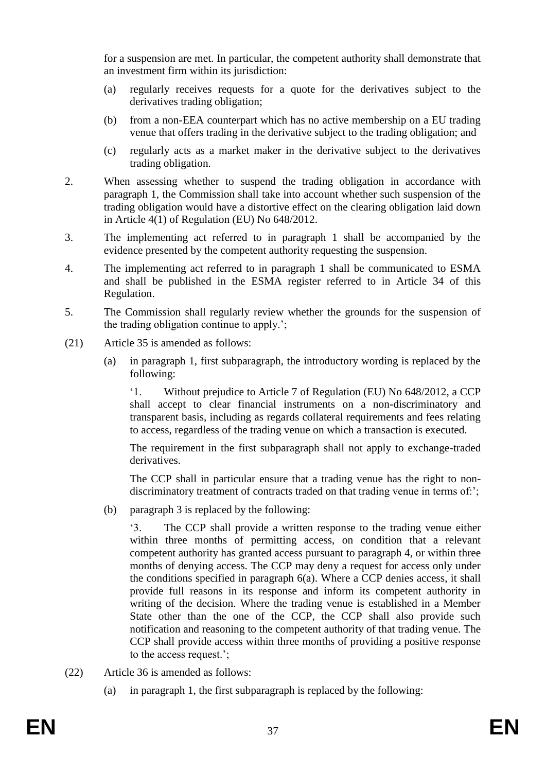for a suspension are met. In particular, the competent authority shall demonstrate that an investment firm within its jurisdiction:

- (a) regularly receives requests for a quote for the derivatives subject to the derivatives trading obligation;
- (b) from a non-EEA counterpart which has no active membership on a EU trading venue that offers trading in the derivative subject to the trading obligation; and
- (c) regularly acts as a market maker in the derivative subject to the derivatives trading obligation.
- 2. When assessing whether to suspend the trading obligation in accordance with paragraph 1, the Commission shall take into account whether such suspension of the trading obligation would have a distortive effect on the clearing obligation laid down in Article 4(1) of Regulation (EU) No 648/2012.
- 3. The implementing act referred to in paragraph 1 shall be accompanied by the evidence presented by the competent authority requesting the suspension.
- 4. The implementing act referred to in paragraph 1 shall be communicated to ESMA and shall be published in the ESMA register referred to in Article 34 of this Regulation.
- 5. The Commission shall regularly review whether the grounds for the suspension of the trading obligation continue to apply.';
- (21) Article 35 is amended as follows:
	- (a) in paragraph 1, first subparagraph, the introductory wording is replaced by the following:

'1. Without prejudice to Article 7 of Regulation (EU) No 648/2012, a CCP shall accept to clear financial instruments on a non-discriminatory and transparent basis, including as regards collateral requirements and fees relating to access, regardless of the trading venue on which a transaction is executed.

The requirement in the first subparagraph shall not apply to exchange-traded derivatives.

The CCP shall in particular ensure that a trading venue has the right to nondiscriminatory treatment of contracts traded on that trading venue in terms of:';

(b) paragraph 3 is replaced by the following:

'3. The CCP shall provide a written response to the trading venue either within three months of permitting access, on condition that a relevant competent authority has granted access pursuant to paragraph 4, or within three months of denying access. The CCP may deny a request for access only under the conditions specified in paragraph 6(a). Where a CCP denies access, it shall provide full reasons in its response and inform its competent authority in writing of the decision. Where the trading venue is established in a Member State other than the one of the CCP, the CCP shall also provide such notification and reasoning to the competent authority of that trading venue. The CCP shall provide access within three months of providing a positive response to the access request.';

- (22) Article 36 is amended as follows:
	- (a) in paragraph 1, the first subparagraph is replaced by the following: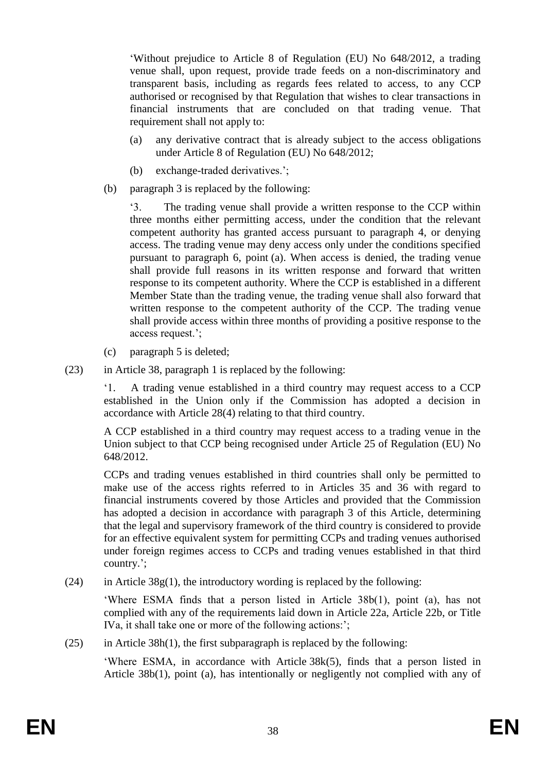'Without prejudice to Article 8 of Regulation (EU) No 648/2012, a trading venue shall, upon request, provide trade feeds on a non-discriminatory and transparent basis, including as regards fees related to access, to any CCP authorised or recognised by that Regulation that wishes to clear transactions in financial instruments that are concluded on that trading venue. That requirement shall not apply to:

- (a) any derivative contract that is already subject to the access obligations under Article 8 of Regulation (EU) No 648/2012;
- (b) exchange-traded derivatives.';
- (b) paragraph 3 is replaced by the following:

'3. The trading venue shall provide a written response to the CCP within three months either permitting access, under the condition that the relevant competent authority has granted access pursuant to paragraph 4, or denying access. The trading venue may deny access only under the conditions specified pursuant to paragraph 6, point (a). When access is denied, the trading venue shall provide full reasons in its written response and forward that written response to its competent authority. Where the CCP is established in a different Member State than the trading venue, the trading venue shall also forward that written response to the competent authority of the CCP. The trading venue shall provide access within three months of providing a positive response to the access request.';

- (c) paragraph 5 is deleted;
- (23) in Article 38, paragraph 1 is replaced by the following:

'1. A trading venue established in a third country may request access to a CCP established in the Union only if the Commission has adopted a decision in accordance with Article 28(4) relating to that third country.

A CCP established in a third country may request access to a trading venue in the Union subject to that CCP being recognised under Article 25 of Regulation (EU) No 648/2012.

CCPs and trading venues established in third countries shall only be permitted to make use of the access rights referred to in Articles 35 and 36 with regard to financial instruments covered by those Articles and provided that the Commission has adopted a decision in accordance with paragraph 3 of this Article, determining that the legal and supervisory framework of the third country is considered to provide for an effective equivalent system for permitting CCPs and trading venues authorised under foreign regimes access to CCPs and trading venues established in that third country.';

(24) in Article  $38g(1)$ , the introductory wording is replaced by the following:

'Where ESMA finds that a person listed in Article 38b(1), point (a), has not complied with any of the requirements laid down in Article 22a, Article 22b, or Title IVa, it shall take one or more of the following actions:';

(25) in Article 38h(1), the first subparagraph is replaced by the following:

'Where ESMA, in accordance with Article 38k(5), finds that a person listed in Article 38b(1), point (a), has intentionally or negligently not complied with any of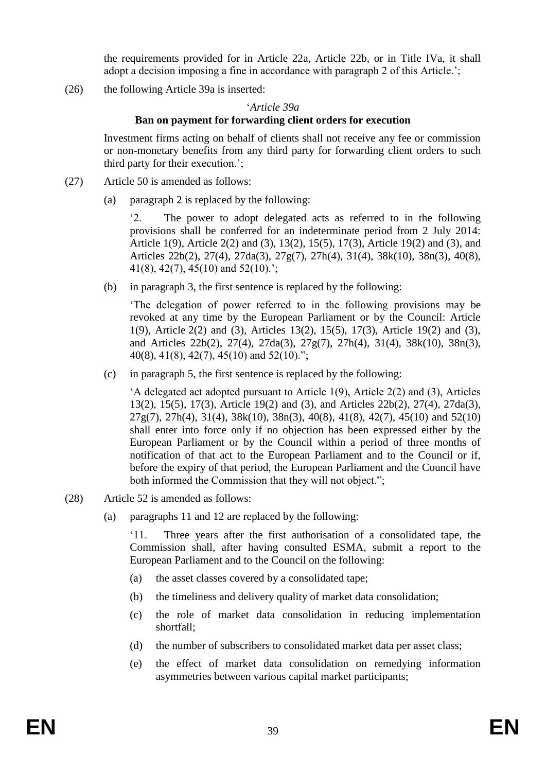the requirements provided for in Article 22a, Article 22b, or in Title IVa, it shall adopt a decision imposing a fine in accordance with paragraph 2 of this Article.';

(26) the following Article 39a is inserted:

#### '*Article 39a*

#### **Ban on payment for forwarding client orders for execution**

Investment firms acting on behalf of clients shall not receive any fee or commission or non-monetary benefits from any third party for forwarding client orders to such third party for their execution.';

- (27) Article 50 is amended as follows:
	- (a) paragraph 2 is replaced by the following:

'2. The power to adopt delegated acts as referred to in the following provisions shall be conferred for an indeterminate period from 2 July 2014: Article 1(9), Article 2(2) and (3), 13(2), 15(5), 17(3), Article 19(2) and (3), and Articles 22b(2), 27(4), 27da(3), 27g(7), 27h(4), 31(4), 38k(10), 38n(3), 40(8), 41(8), 42(7), 45(10) and 52(10).';

(b) in paragraph 3, the first sentence is replaced by the following:

'The delegation of power referred to in the following provisions may be revoked at any time by the European Parliament or by the Council: Article 1(9), Article 2(2) and (3), Articles 13(2), 15(5), 17(3), Article 19(2) and (3), and Articles 22b(2), 27(4), 27da(3), 27g(7), 27h(4), 31(4), 38k(10), 38n(3), 40(8), 41(8), 42(7), 45(10) and 52(10).";

(c) in paragraph 5, the first sentence is replaced by the following:

'A delegated act adopted pursuant to Article 1(9), Article 2(2) and (3), Articles 13(2), 15(5), 17(3), Article 19(2) and (3), and Articles 22b(2), 27(4), 27da(3), 27g(7), 27h(4), 31(4), 38k(10), 38n(3), 40(8), 41(8), 42(7), 45(10) and 52(10) shall enter into force only if no objection has been expressed either by the European Parliament or by the Council within a period of three months of notification of that act to the European Parliament and to the Council or if, before the expiry of that period, the European Parliament and the Council have both informed the Commission that they will not object.";

- (28) Article 52 is amended as follows:
	- (a) paragraphs 11 and 12 are replaced by the following:

'11. Three years after the first authorisation of a consolidated tape, the Commission shall, after having consulted ESMA, submit a report to the European Parliament and to the Council on the following:

- (a) the asset classes covered by a consolidated tape;
- (b) the timeliness and delivery quality of market data consolidation;
- (c) the role of market data consolidation in reducing implementation shortfall;
- (d) the number of subscribers to consolidated market data per asset class;
- (e) the effect of market data consolidation on remedying information asymmetries between various capital market participants;